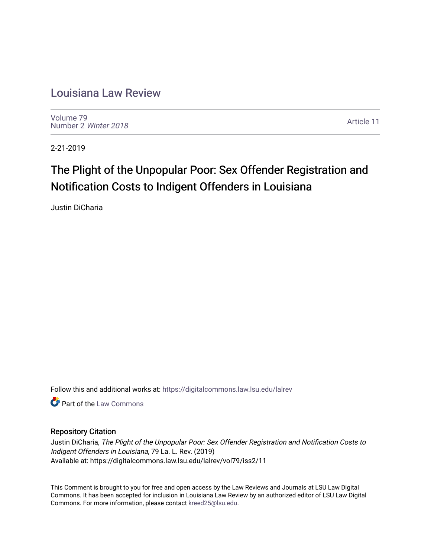# [Louisiana Law Review](https://digitalcommons.law.lsu.edu/lalrev)

[Volume 79](https://digitalcommons.law.lsu.edu/lalrev/vol79) [Number 2](https://digitalcommons.law.lsu.edu/lalrev/vol79/iss2) Winter 2018

[Article 11](https://digitalcommons.law.lsu.edu/lalrev/vol79/iss2/11) 

2-21-2019

# The Plight of the Unpopular Poor: Sex Offender Registration and Notification Costs to Indigent Offenders in Louisiana

Justin DiCharia

Follow this and additional works at: [https://digitalcommons.law.lsu.edu/lalrev](https://digitalcommons.law.lsu.edu/lalrev?utm_source=digitalcommons.law.lsu.edu%2Flalrev%2Fvol79%2Fiss2%2F11&utm_medium=PDF&utm_campaign=PDFCoverPages)

**C** Part of the [Law Commons](http://network.bepress.com/hgg/discipline/578?utm_source=digitalcommons.law.lsu.edu%2Flalrev%2Fvol79%2Fiss2%2F11&utm_medium=PDF&utm_campaign=PDFCoverPages)

# Repository Citation

Justin DiCharia, The Plight of the Unpopular Poor: Sex Offender Registration and Notification Costs to Indigent Offenders in Louisiana, 79 La. L. Rev. (2019) Available at: https://digitalcommons.law.lsu.edu/lalrev/vol79/iss2/11

This Comment is brought to you for free and open access by the Law Reviews and Journals at LSU Law Digital Commons. It has been accepted for inclusion in Louisiana Law Review by an authorized editor of LSU Law Digital Commons. For more information, please contact [kreed25@lsu.edu](mailto:kreed25@lsu.edu).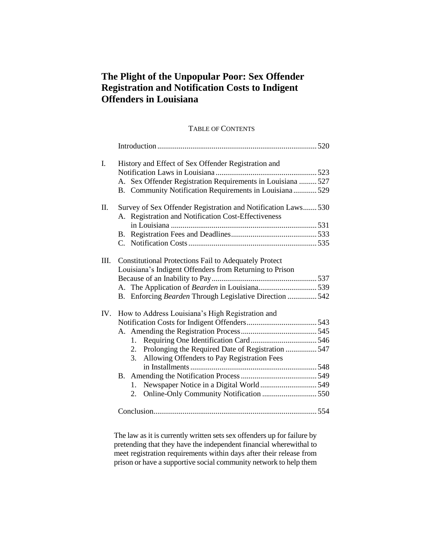# **The Plight of the Unpopular Poor: Sex Offender Registration and Notification Costs to Indigent Offenders in Louisiana**

# TABLE OF CONTENTS

| I.   | History and Effect of Sex Offender Registration and           |                                                         |  |
|------|---------------------------------------------------------------|---------------------------------------------------------|--|
|      |                                                               |                                                         |  |
|      | A. Sex Offender Registration Requirements in Louisiana  527   |                                                         |  |
|      |                                                               | B. Community Notification Requirements in Louisiana 529 |  |
| П.   | Survey of Sex Offender Registration and Notification Laws 530 |                                                         |  |
|      | A. Registration and Notification Cost-Effectiveness           |                                                         |  |
|      |                                                               |                                                         |  |
|      |                                                               |                                                         |  |
|      |                                                               |                                                         |  |
| III. | <b>Constitutional Protections Fail to Adequately Protect</b>  |                                                         |  |
|      | Louisiana's Indigent Offenders from Returning to Prison       |                                                         |  |
|      |                                                               |                                                         |  |
|      |                                                               |                                                         |  |
|      |                                                               | B. Enforcing Bearden Through Legislative Direction  542 |  |
| IV.  | How to Address Louisiana's High Registration and              |                                                         |  |
|      |                                                               |                                                         |  |
|      |                                                               |                                                         |  |
|      | $1_{\cdot}$                                                   |                                                         |  |
|      |                                                               | 2. Prolonging the Required Date of Registration  547    |  |
|      | 3.                                                            | Allowing Offenders to Pay Registration Fees             |  |
|      |                                                               |                                                         |  |
|      |                                                               |                                                         |  |
|      | $1_{\cdot}$                                                   | Newspaper Notice in a Digital World 549                 |  |
|      |                                                               |                                                         |  |
|      |                                                               |                                                         |  |
|      |                                                               |                                                         |  |

The law as it is currently written sets sex offenders up for failure by pretending that they have the independent financial wherewithal to meet registration requirements within days after their release from prison or have a supportive social community network to help them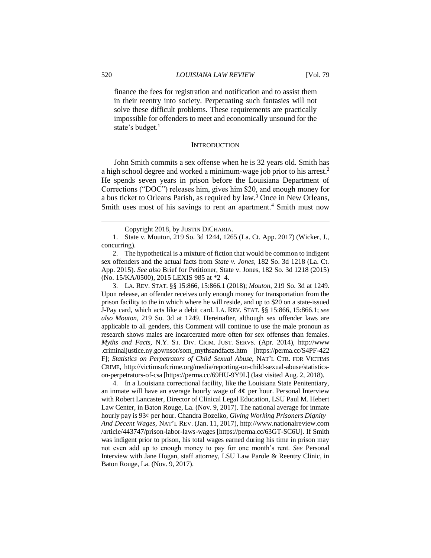finance the fees for registration and notification and to assist them in their reentry into society. Perpetuating such fantasies will not solve these difficult problems. These requirements are practically impossible for offenders to meet and economically unsound for the state's budget.<sup>1</sup>

#### **INTRODUCTION**

John Smith commits a sex offense when he is 32 years old. Smith has a high school degree and worked a minimum-wage job prior to his arrest.<sup>2</sup> He spends seven years in prison before the Louisiana Department of Corrections ("DOC") releases him, gives him \$20, and enough money for a bus ticket to Orleans Parish, as required by law.<sup>3</sup> Once in New Orleans, Smith uses most of his savings to rent an apartment.<sup>4</sup> Smith must now

3. LA. REV. STAT. §§ 15:866, 15:866.1 (2018); *Mouton*, 219 So. 3d at 1249. Upon release, an offender receives only enough money for transportation from the prison facility to the in which where he will reside, and up to \$20 on a state-issued J-Pay card, which acts like a debit card. LA. REV. STAT. §§ 15:866, 15:866.1; *see also Mouton*, 219 So. 3d at 1249. Hereinafter, although sex offender laws are applicable to all genders, this Comment will continue to use the male pronoun as research shows males are incarcerated more often for sex offenses than females. *Myths and Facts*, N.Y. ST. DIV. CRIM. JUST. SERVS. (Apr. 2014), http://www .criminaljustice.ny.gov/nsor/som\_mythsandfacts.htm [https://perma.cc/S4PF-422 F]; *Statistics on Perpetrators of Child Sexual Abuse*, NAT'L CTR. FOR VICTIMS CRIME, http://victimsofcrime.org/media/reporting-on-child-sexual-abuse/statisticson-perpetrators-of-csa [\[https://perma.cc/69HU-9Y9L\]](https://perma.cc/69HU-9Y9L) (last visited Aug. 2, 2018).

4. In a Louisiana correctional facility, like the Louisiana State Penitentiary, an inmate will have an average hourly wage of  $4¢$  per hour. Personal Interview with Robert Lancaster, Director of Clinical Legal Education, LSU Paul M. Hebert Law Center, in Baton Rouge, La. (Nov. 9, 2017). The national average for inmate hourly pay is 93¢ per hour. Chandra Bozelko, *Giving Working Prisoners Dignity– And Decent Wages*, NAT'L REV. (Jan. 11, 2017), http://www.nationalreview.com /article/443747/prison-labor-laws-wages [https://perma.cc/63GT-SC6U]. If Smith was indigent prior to prison, his total wages earned during his time in prison may not even add up to enough money to pay for one month's rent. *See* Personal Interview with Jane Hogan, staff attorney, LSU Law Parole & Reentry Clinic, in Baton Rouge, La. (Nov. 9, 2017).

Copyright 2018, by JUSTIN DICHARIA.

<sup>1.</sup> State v. Mouton, 219 So. 3d 1244, 1265 (La. Ct. App. 2017) (Wicker, J., concurring).

<sup>2.</sup> The hypothetical is a mixture of fiction that would be common to indigent sex offenders and the actual facts from *State v. Jones*, 182 So. 3d 1218 (La. Ct. App. 2015). *See also* Brief for Petitioner, State v. Jones, 182 So. 3d 1218 (2015) (No. 15/KA/0500), 2015 LEXIS 985 at \*2–4.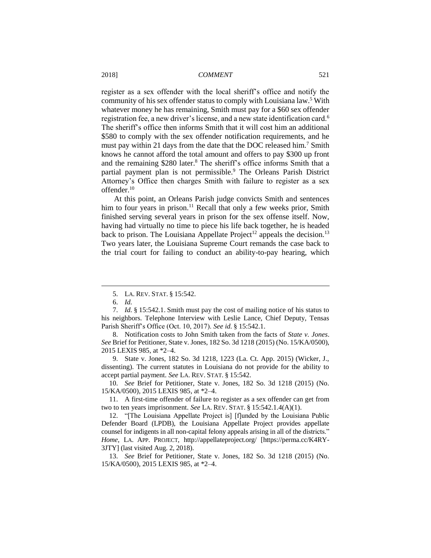register as a sex offender with the local sheriff's office and notify the community of his sex offender status to comply with Louisiana law.<sup>5</sup> With whatever money he has remaining, Smith must pay for a \$60 sex offender registration fee, a new driver's license, and a new state identification card.<sup>6</sup> The sheriff's office then informs Smith that it will cost him an additional \$580 to comply with the sex offender notification requirements, and he must pay within 21 days from the date that the DOC released him.<sup>7</sup> Smith knows he cannot afford the total amount and offers to pay \$300 up front and the remaining \$280 later.<sup>8</sup> The sheriff's office informs Smith that a partial payment plan is not permissible.<sup>9</sup> The Orleans Parish District Attorney's Office then charges Smith with failure to register as a sex offender.<sup>10</sup>

At this point, an Orleans Parish judge convicts Smith and sentences him to four years in prison.<sup>11</sup> Recall that only a few weeks prior, Smith finished serving several years in prison for the sex offense itself. Now, having had virtually no time to piece his life back together, he is headed back to prison. The Louisiana Appellate Project<sup>12</sup> appeals the decision.<sup>13</sup> Two years later, the Louisiana Supreme Court remands the case back to the trial court for failing to conduct an ability-to-pay hearing, which

<sup>5.</sup> LA. REV. STAT. § 15:542.

<sup>6.</sup> *Id.*

<sup>7.</sup> *Id.* § 15:542.1. Smith must pay the cost of mailing notice of his status to his neighbors. Telephone Interview with Leslie Lance, Chief Deputy, Tensas Parish Sheriff's Office (Oct. 10, 2017). *See id.* § 15:542.1.

<sup>8.</sup> Notification costs to John Smith taken from the facts of *State v. Jones*. *See* Brief for Petitioner, State v. Jones, 182 So. 3d 1218 (2015) (No. 15/KA/0500), 2015 LEXIS 985, at \*2–4.

<sup>9.</sup> State v. Jones, 182 So. 3d 1218, 1223 (La. Ct. App. 2015) (Wicker, J., dissenting). The current statutes in Louisiana do not provide for the ability to accept partial payment. *See* LA. REV. STAT. § 15:542.

<sup>10.</sup> *See* Brief for Petitioner, State v. Jones, 182 So. 3d 1218 (2015) (No. 15/KA/0500), 2015 LEXIS 985, at \*2–4.

<sup>11.</sup> A first-time offender of failure to register as a sex offender can get from two to ten years imprisonment. *See* LA. REV. STAT. § 15:542.1.4(A)(1).

<sup>12.</sup> "[The Louisiana Appellate Project is] [f]unded by the Louisiana Public Defender Board (LPDB), the Louisiana Appellate Project provides appellate counsel for indigents in all non-capital felony appeals arising in all of the districts." *Home*, LA. APP. PROJECT, http://appellateproject.org/ [\[https://perma.cc/K4RY-](https://perma.cc/K4RY-3JTY)[3JTY\]](https://perma.cc/K4RY-3JTY) (last visited Aug. 2, 2018).

<sup>13.</sup> *See* Brief for Petitioner, State v. Jones, 182 So. 3d 1218 (2015) (No. 15/KA/0500), 2015 LEXIS 985, at \*2–4.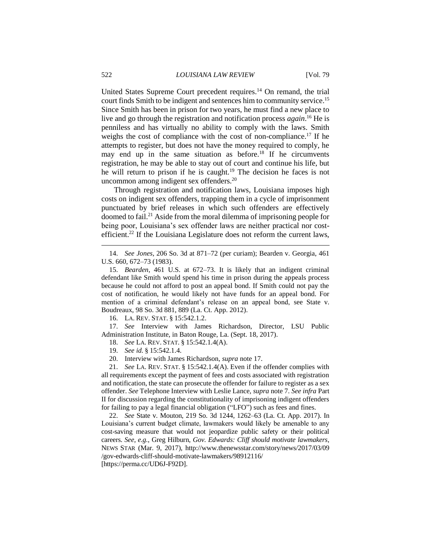United States Supreme Court precedent requires.<sup>14</sup> On remand, the trial court finds Smith to be indigent and sentences him to community service. 15 Since Smith has been in prison for two years, he must find a new place to live and go through the registration and notification process *again*. <sup>16</sup> He is penniless and has virtually no ability to comply with the laws. Smith weighs the cost of compliance with the cost of non-compliance.<sup>17</sup> If he attempts to register, but does not have the money required to comply, he may end up in the same situation as before.<sup>18</sup> If he circumvents registration, he may be able to stay out of court and continue his life, but he will return to prison if he is caught.<sup>19</sup> The decision he faces is not uncommon among indigent sex offenders.<sup>20</sup>

Through registration and notification laws, Louisiana imposes high costs on indigent sex offenders, trapping them in a cycle of imprisonment punctuated by brief releases in which such offenders are effectively doomed to fail.<sup>21</sup> Aside from the moral dilemma of imprisoning people for being poor, Louisiana's sex offender laws are neither practical nor costefficient.<sup>22</sup> If the Louisiana Legislature does not reform the current laws,

16. LA. REV. STAT. § 15:542.1.2.

17. *See* Interview with James Richardson, Director, LSU Public Administration Institute, in Baton Rouge, La. (Sept. 18, 2017).

18. *See* LA. REV. STAT. § 15:542.1.4(A).

19. *See id.* § 15:542.1.4.

20. Interview with James Richardson, *supra* note 17.

21. *See* LA. REV. STAT. § 15:542.1.4(A). Even if the offender complies with all requirements except the payment of fees and costs associated with registration and notification, the state can prosecute the offender for failure to register as a sex offender. *See* Telephone Interview with Leslie Lance, *supra* note 7. *See infra* Part II for discussion regarding the constitutionality of imprisoning indigent offenders for failing to pay a legal financial obligation ("LFO") such as fees and fines.

22. *See* State v. Mouton, 219 So. 3d 1244, 1262–63 (La. Ct. App. 2017). In Louisiana's current budget climate, lawmakers would likely be amenable to any cost-saving measure that would not jeopardize public safety or their political careers. *See, e.g.*, Greg Hilburn, *Gov. Edwards: Cliff should motivate lawmakers*, NEWS STAR (Mar. 9, 2017), http://www.thenewsstar.com/story/news/2017/03/09 /gov-edwards-cliff-should-motivate-lawmakers/98912116/ [https://perma.cc/UD6J-F92D].

<sup>14.</sup> *See Jones*, 206 So. 3d at 871–72 (per curiam); Bearden v. Georgia, 461 U.S. 660, 672–73 (1983).

<sup>15.</sup> *Bearden*, 461 U.S. at 672–73. It is likely that an indigent criminal defendant like Smith would spend his time in prison during the appeals process because he could not afford to post an appeal bond. If Smith could not pay the cost of notification, he would likely not have funds for an appeal bond. For mention of a criminal defendant's release on an appeal bond, see State v. Boudreaux, 98 So. 3d 881, 889 (La. Ct. App. 2012).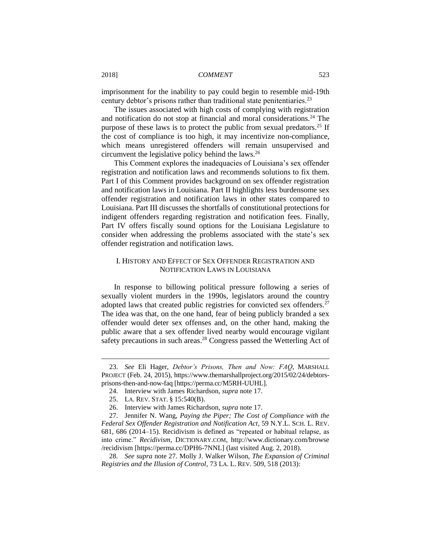imprisonment for the inability to pay could begin to resemble mid-19th century debtor's prisons rather than traditional state penitentiaries.<sup>23</sup>

The issues associated with high costs of complying with registration and notification do not stop at financial and moral considerations.<sup>24</sup> The purpose of these laws is to protect the public from sexual predators.<sup>25</sup> If the cost of compliance is too high, it may incentivize non-compliance, which means unregistered offenders will remain unsupervised and circumvent the legislative policy behind the laws.<sup>26</sup>

This Comment explores the inadequacies of Louisiana's sex offender registration and notification laws and recommends solutions to fix them. Part I of this Comment provides background on sex offender registration and notification laws in Louisiana. Part II highlights less burdensome sex offender registration and notification laws in other states compared to Louisiana. Part III discusses the shortfalls of constitutional protections for indigent offenders regarding registration and notification fees. Finally, Part IV offers fiscally sound options for the Louisiana Legislature to consider when addressing the problems associated with the state's sex offender registration and notification laws.

# I. HISTORY AND EFFECT OF SEX OFFENDER REGISTRATION AND NOTIFICATION LAWS IN LOUISIANA

In response to billowing political pressure following a series of sexually violent murders in the 1990s, legislators around the country adopted laws that created public registries for convicted sex offenders.<sup>27</sup> The idea was that, on the one hand, fear of being publicly branded a sex offender would deter sex offenses and, on the other hand, making the public aware that a sex offender lived nearby would encourage vigilant safety precautions in such areas.<sup>28</sup> Congress passed the Wetterling Act of

<sup>23.</sup> *See* Eli Hager, *Debtor's Prisons, Then and Now: FAQ*, MARSHALL PROJECT (Feb. 24, 2015), https://www.themarshallproject.org/2015/02/24/debtorsprisons-then-and-now-faq [https://perma.cc/M5RH-UUHL].

<sup>24.</sup> Interview with James Richardson, *supra* note 17.

<sup>25.</sup> LA. REV. STAT. § 15:540(B).

<sup>26.</sup> Interview with James Richardson, *supra* note 17.

<sup>27.</sup> Jennifer N. Wang, *Paying the Piper; The Cost of Compliance with the Federal Sex Offender Registration and Notification Act*, 59 N.Y.L. SCH. L. REV. 681, 686 (2014–15). Recidivism is defined as "repeated or habitual relapse, as into crime." *Recidivism*, DICTIONARY.COM, http://www.dictionary.com/browse /recidivism [https://perma.cc/DPH6-7NNL] (last visited Aug. 2, 2018).

<sup>28.</sup> *See supra* note 27. Molly J. Walker Wilson, *The Expansion of Criminal Registries and the Illusion of Control*, 73 LA. L. REV. 509, 518 (2013):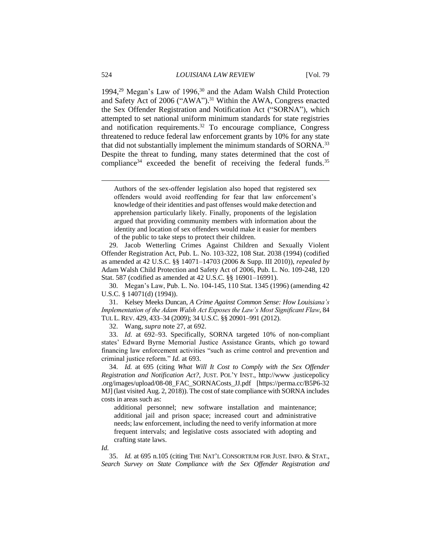1994,<sup>29</sup> Megan's Law of 1996,<sup>30</sup> and the Adam Walsh Child Protection and Safety Act of 2006 ("AWA").<sup>31</sup> Within the AWA, Congress enacted the Sex Offender Registration and Notification Act ("SORNA"), which attempted to set national uniform minimum standards for state registries and notification requirements. <sup>32</sup> To encourage compliance, Congress threatened to reduce federal law enforcement grants by 10% for any state that did not substantially implement the minimum standards of SORNA.<sup>33</sup> Despite the threat to funding, many states determined that the cost of compliance<sup>34</sup> exceeded the benefit of receiving the federal funds.<sup>35</sup>

29. Jacob Wetterling Crimes Against Children and Sexually Violent Offender Registration Act, Pub. L. No. 103-322, 108 Stat. 2038 (1994) (codified as amended at 42 U.S.C. §§ 14071–14703 (2006 & Supp. III 2010)), *repealed by*  Adam Walsh Child Protection and Safety Act of 2006, Pub. L. No. 109-248, 120 Stat. 587 (codified as amended at 42 U.S.C. §§ 16901–16991).

30. Megan's Law, Pub. L. No. 104-145, 110 Stat. 1345 (1996) (amending 42 U.S.C. § 14071(d) (1994)).

31. Kelsey Meeks Duncan*, A Crime Against Common Sense: How Louisiana's Implementation of the Adam Walsh Act Exposes the Law's Most Significant Flaw*, 84 TUL L. REV. 429, 433–34 (2009); 34 U.S.C. §§ 20901–991 (2012).

32. Wang, *supra* note 27, at 692.

33. *Id.* at 692–93. Specifically, SORNA targeted 10% of non-compliant states' Edward Byrne Memorial Justice Assistance Grants, which go toward financing law enforcement activities "such as crime control and prevention and criminal justice reform." *Id.* at 693.

34. *Id.* at 695 (citing *What Will It Cost to Comply with the Sex Offender Registration and Notification Act?*, JUST. POL'Y INST., http://www .justicepolicy .org/images/upload/08-08\_FAC\_SORNACosts\_JJ.pdf [https://perma.cc/B5P6-32 MJ] (last visited Aug. 2, 2018)). The cost of state compliance with SORNA includes costs in areas such as:

additional personnel; new software installation and maintenance; additional jail and prison space; increased court and administrative needs; law enforcement, including the need to verify information at more frequent intervals; and legislative costs associated with adopting and crafting state laws.

*Id.*

35. *Id.* at 695 n.105 (citing THE NAT'L CONSORTIUM FOR JUST. INFO. & STAT., *Search Survey on State Compliance with the Sex Offender Registration and* 

Authors of the sex-offender legislation also hoped that registered sex offenders would avoid reoffending for fear that law enforcement's knowledge of their identities and past offenses would make detection and apprehension particularly likely. Finally, proponents of the legislation argued that providing community members with information about the identity and location of sex offenders would make it easier for members of the public to take steps to protect their children.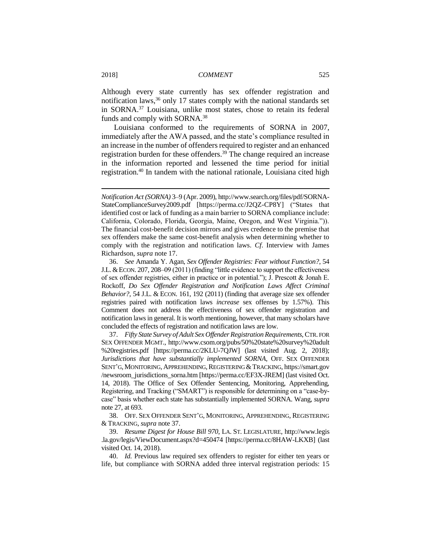Although every state currently has sex offender registration and notification laws,<sup>36</sup> only 17 states comply with the national standards set in SORNA.<sup>37</sup> Louisiana, unlike most states, chose to retain its federal funds and comply with SORNA.<sup>38</sup>

Louisiana conformed to the requirements of SORNA in 2007, immediately after the AWA passed, and the state's compliance resulted in an increase in the number of offenders required to register and an enhanced registration burden for these offenders.<sup>39</sup> The change required an increase in the information reported and lessened the time period for initial registration.<sup>40</sup> In tandem with the national rationale, Louisiana cited high

*Notification Act (SORNA)* 3–9 (Apr. 2009), http://www.search.org/files/pdf/SORNA-StateComplianceSurvey2009.pdf [https://perma.cc/J2QZ-CP8Y] ("States that identified cost or lack of funding as a main barrier to SORNA compliance include: California, Colorado, Florida, Georgia, Maine, Oregon, and West Virginia.")). The financial cost-benefit decision mirrors and gives credence to the premise that sex offenders make the same cost-benefit analysis when determining whether to comply with the registration and notification laws. *Cf*. Interview with James Richardson, *supra* note 17.

<sup>36.</sup> *See* Amanda Y. Agan, *Sex Offender Registries: Fear without Function?*, 54 J.L. &ECON. 207, 208–09 (2011) (finding "little evidence to support the effectiveness of sex offender registries, either in practice or in potential."); J. Prescott & Jonah E. Rockoff, *Do Sex Offender Registration and Notification Laws Affect Criminal Behavior?*, 54 J.L. & ECON. 161, 192 (2011) (finding that average size sex offender registries paired with notification laws *increase* sex offenses by 1.57%). This Comment does not address the effectiveness of sex offender registration and notification laws in general. It is worth mentioning, however, that many scholars have concluded the effects of registration and notification laws are low.

<sup>37.</sup> *Fifty State Survey of Adult Sex Offender Registration Requirements*, CTR. FOR SEX OFFENDER MGMT., http://www.csom.org/pubs/50%20state%20survey%20adult %20registries.pdf [https://perma.cc/2KLU-7QJW] (last visited Aug. 2, 2018); *Jurisdictions that have substantially implemented SORNA*, OFF. SEX OFFENDER SENT'G, MONITORING, APPREHENDING, REGISTERING & TRACKING, https://smart.gov /newsroom\_jurisdictions\_sorna.htm [https://perma.cc/EF3X-JREM] (last visited Oct. 14, 2018). The Office of Sex Offender Sentencing, Monitoring, Apprehending, Registering, and Tracking ("SMART") is responsible for determining on a "case-bycase" basis whether each state has substantially implemented SORNA. Wang, *supra*  note 27, at 693.

<sup>38.</sup> OFF. SEX OFFENDER SENT'G, MONITORING, APPREHENDING, REGISTERING & TRACKING, *supra* note 37.

<sup>39.</sup> *Resume Digest for House Bill 970*, LA. ST. LEGISLATURE, http://www.legis .la.gov/legis/ViewDocument.aspx?d=450474 [https://perma.cc/8HAW-LKXB] (last visited Oct. 14, 2018).

<sup>40.</sup> *Id.* Previous law required sex offenders to register for either ten years or life, but compliance with SORNA added three interval registration periods: 15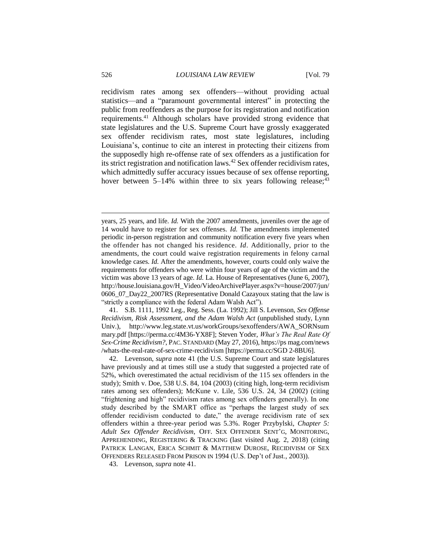recidivism rates among sex offenders—without providing actual statistics—and a "paramount governmental interest" in protecting the public from reoffenders as the purpose for its registration and notification requirements.<sup>41</sup> Although scholars have provided strong evidence that state legislatures and the U.S. Supreme Court have grossly exaggerated sex offender recidivism rates, most state legislatures, including Louisiana's, continue to cite an interest in protecting their citizens from the supposedly high re-offense rate of sex offenders as a justification for its strict registration and notification laws.<sup>42</sup> Sex offender recidivism rates, which admittedly suffer accuracy issues because of sex offense reporting, hover between  $5-14\%$  within three to six years following release;<sup>43</sup>

41. S.B. 1111, 1992 Leg., Reg. Sess. (La. 1992); Jill S. Levenson, *Sex Offense Recidivism, Risk Assessment, and the Adam Walsh Act* (unpublished study, Lynn Univ.), http://www.leg.state.vt.us/workGroups/sexoffenders/AWA\_SORNsum mary.pdf [https://perma.cc/4M36-YX8F]; Steven Yoder, *What's The Real Rate Of Sex-Crime Recidivism?*, PAC. STANDARD (May 27, 2016), https://ps mag.com/news /whats-the-real-rate-of-sex-crime-recidivism [https://perma.cc/SGD 2-8BU6].

42. Levenson, *supra* note 41 (the U.S. Supreme Court and state legislatures have previously and at times still use a study that suggested a projected rate of 52%, which overestimated the actual recidivism of the 115 sex offenders in the study); Smith v. Doe, 538 U.S. 84, 104 (2003) (citing high, long-term recidivism rates among sex offenders); McKune v. Lile, 536 U.S. 24, 34 (2002) (citing "frightening and high" recidivism rates among sex offenders generally). In one study described by the SMART office as "perhaps the largest study of sex offender recidivism conducted to date," the average recidivism rate of sex offenders within a three-year period was 5.3%. Roger Przybylski, *Chapter 5: Adult Sex Offender Recidivism*, OFF. SEX OFFENDER SENT'G, MONITORING, APPREHENDING, REGISTERING & TRACKING (last visited Aug. 2, 2018) (citing PATRICK LANGAN, ERICA SCHMIT & MATTHEW DUROSE, RECIDIVISM OF SEX OFFENDERS RELEASED FROM PRISON IN 1994 (U.S. Dep't of Just., 2003)).

43. Levenson, *supra* note 41.

years, 25 years, and life. *Id.* With the 2007 amendments, juveniles over the age of 14 would have to register for sex offenses. *Id.* The amendments implemented periodic in-person registration and community notification every five years when the offender has not changed his residence. *Id*. Additionally, prior to the amendments, the court could waive registration requirements in felony carnal knowledge cases. *Id.* After the amendments, however, courts could only waive the requirements for offenders who were within four years of age of the victim and the victim was above 13 years of age. *Id.* La. House of Representatives (June 6, 2007), http://house.louisiana.gov/H\_Video/VideoArchivePlayer.aspx?v=house/2007/jun/ 0606\_07\_Day22\_2007RS (Representative Donald Cazayoux stating that the law is "strictly a compliance with the federal Adam Walsh Act").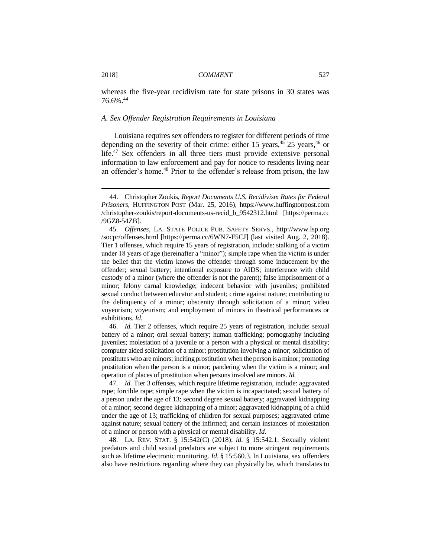whereas the five-year recidivism rate for state prisons in 30 states was 76.6%.<sup>44</sup>

#### *A. Sex Offender Registration Requirements in Louisiana*

Louisiana requires sex offenders to register for different periods of time depending on the severity of their crime: either 15 years,  $45$  25 years,  $46$  or life.<sup>47</sup> Sex offenders in all three tiers must provide extensive personal information to law enforcement and pay for notice to residents living near an offender's home.<sup>48</sup> Prior to the offender's release from prison, the law

46. *Id.* Tier 2 offenses, which require 25 years of registration, include: sexual battery of a minor; oral sexual battery; human trafficking; pornography including juveniles; molestation of a juvenile or a person with a physical or mental disability; computer aided solicitation of a minor; prostitution involving a minor; solicitation of prostitutes who are minors; inciting prostitution when the person is a minor; promoting prostitution when the person is a minor; pandering when the victim is a minor; and operation of places of prostitution when persons involved are minors. *Id.*

47. *Id.* Tier 3 offenses, which require lifetime registration, include: aggravated rape; forcible rape; simple rape when the victim is incapacitated; sexual battery of a person under the age of 13; second degree sexual battery; aggravated kidnapping of a minor; second degree kidnapping of a minor; aggravated kidnapping of a child under the age of 13; trafficking of children for sexual purposes; aggravated crime against nature; sexual battery of the infirmed; and certain instances of molestation of a minor or person with a physical or mental disability. *Id.*

48. LA. REV. STAT. § 15:542(C) (2018); *id.* § 15:542.1. Sexually violent predators and child sexual predators are subject to more stringent requirements such as lifetime electronic monitoring. *Id.* § 15:560.3. In Louisiana, sex offenders also have restrictions regarding where they can physically be, which translates to

<sup>44.</sup> Christopher Zoukis, *Report Documents U.S. Recidivism Rates for Federal Prisoners*, HUFFINGTON POST (Mar. 25, 2016), https://www.huffingtonpost.com /christopher-zoukis/report-documents-us-recid\_b\_9542312.html [https://perma.cc /9GZ8-54ZB].

<sup>45.</sup> *Offenses*, LA. STATE POLICE PUB. SAFETY SERVS., http://www.lsp.org /socpr/offenses.html [https://perma.cc/6WN7-F5CJ] (last visited Aug. 2, 2018). Tier 1 offenses, which require 15 years of registration, include: stalking of a victim under 18 years of age (hereinafter a "minor"); simple rape when the victim is under the belief that the victim knows the offender through some inducement by the offender; sexual battery; intentional exposure to AIDS; interference with child custody of a minor (where the offender is not the parent); false imprisonment of a minor; felony carnal knowledge; indecent behavior with juveniles; prohibited sexual conduct between educator and student; crime against nature; contributing to the delinquency of a minor; obscenity through solicitation of a minor; video voyeurism; voyeurism; and employment of minors in theatrical performances or exhibitions. *Id.*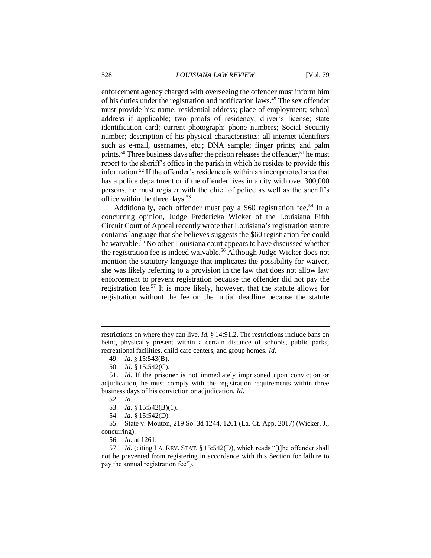enforcement agency charged with overseeing the offender must inform him of his duties under the registration and notification laws.<sup>49</sup> The sex offender must provide his: name; residential address; place of employment; school address if applicable; two proofs of residency; driver's license; state identification card; current photograph; phone numbers; Social Security number; description of his physical characteristics; all internet identifiers such as e-mail, usernames, etc.; DNA sample; finger prints; and palm prints.<sup>50</sup> Three business days after the prison releases the offender,<sup>51</sup> he must report to the sheriff's office in the parish in which he resides to provide this information.<sup>52</sup> If the offender's residence is within an incorporated area that has a police department or if the offender lives in a city with over 300,000 persons, he must register with the chief of police as well as the sheriff's office within the three days.<sup>53</sup>

Additionally, each offender must pay a \$60 registration fee.<sup>54</sup> In a concurring opinion, Judge Fredericka Wicker of the Louisiana Fifth Circuit Court of Appeal recently wrote that Louisiana's registration statute contains language that she believes suggests the \$60 registration fee could be waivable.<sup>55</sup> No other Louisiana court appears to have discussed whether the registration fee is indeed waivable.<sup>56</sup> Although Judge Wicker does not mention the statutory language that implicates the possibility for waiver, she was likely referring to a provision in the law that does not allow law enforcement to prevent registration because the offender did not pay the registration fee.<sup>57</sup> It is more likely, however, that the statute allows for registration without the fee on the initial deadline because the statute

restrictions on where they can live. *Id.* § 14:91.2. The restrictions include bans on being physically present within a certain distance of schools, public parks, recreational facilities, child care centers, and group homes. *Id*.

<sup>49.</sup> *Id.* § 15:543(B).

<sup>50.</sup> *Id.* § 15:542(C).

<sup>51.</sup> *Id.* If the prisoner is not immediately imprisoned upon conviction or adjudication, he must comply with the registration requirements within three business days of his conviction or adjudication. *Id*.

<sup>52.</sup> *Id.*

<sup>53.</sup> *Id.* § 15:542(B)(1).

<sup>54.</sup> *Id.* § 15:542(D).

<sup>55.</sup> State v. Mouton, 219 So. 3d 1244, 1261 (La. Ct. App. 2017) (Wicker, J., concurring).

<sup>56.</sup> *Id.* at 1261.

<sup>57.</sup> *Id.* (citing LA. REV. STAT. § 15:542(D), which reads "[t]he offender shall not be prevented from registering in accordance with this Section for failure to pay the annual registration fee").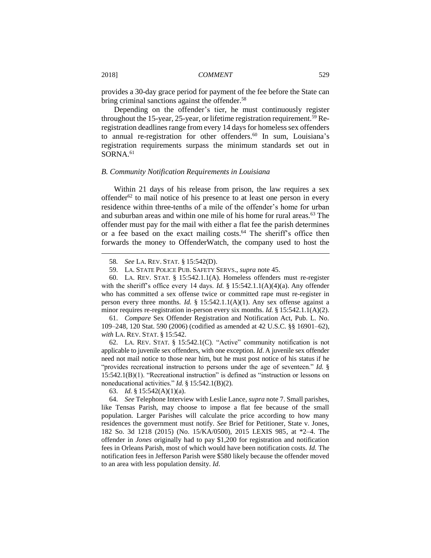provides a 30-day grace period for payment of the fee before the State can bring criminal sanctions against the offender.<sup>58</sup>

Depending on the offender's tier, he must continuously register throughout the 15-year, 25-year, or lifetime registration requirement.<sup>59</sup> Reregistration deadlines range from every 14 days for homeless sex offenders to annual re-registration for other offenders.<sup>60</sup> In sum, Louisiana's registration requirements surpass the minimum standards set out in SORNA.<sup>61</sup>

#### *B. Community Notification Requirements in Louisiana*

Within 21 days of his release from prison, the law requires a sex offender $62$  to mail notice of his presence to at least one person in every residence within three-tenths of a mile of the offender's home for urban and suburban areas and within one mile of his home for rural areas.<sup>63</sup> The offender must pay for the mail with either a flat fee the parish determines or a fee based on the exact mailing costs.<sup>64</sup> The sheriff's office then forwards the money to OffenderWatch, the company used to host the

61. *Compare* Sex Offender Registration and Notification Act, Pub. L. No. 109–248, 120 Stat. 590 (2006) (codified as amended at 42 U.S.C. §§ 16901–62), *with* LA. REV. STAT. § 15:542.

62. LA. REV. STAT. § 15:542.1(C). "Active" community notification is not applicable to juvenile sex offenders, with one exception. *Id*. A juvenile sex offender need not mail notice to those near him, but he must post notice of his status if he "provides recreational instruction to persons under the age of seventeen." *Id.* § 15:542.1(B)(1). "Recreational instruction" is defined as "instruction or lessons on noneducational activities." *Id.* § 15:542.1(B)(2).

63. *Id.* § 15:542(A)(1)(a).

<sup>58</sup>*. See* LA. REV. STAT. § 15:542(D).

<sup>59.</sup> LA. STATE POLICE PUB. SAFETY SERVS., *supra* note 45.

<sup>60.</sup> LA. REV. STAT. § 15:542.1.1(A). Homeless offenders must re-register with the sheriff's office every 14 days. *Id.* § 15:542.1.1(A)(4)(a). Any offender who has committed a sex offense twice or committed rape must re-register in person every three months. *Id.* § 15:542.1.1(A)(1). Any sex offense against a minor requires re-registration in-person every six months. *Id.* § 15:542.1.1(A)(2).

<sup>64.</sup> *See* Telephone Interview with Leslie Lance, *supra* note 7. Small parishes, like Tensas Parish, may choose to impose a flat fee because of the small population. Larger Parishes will calculate the price according to how many residences the government must notify. *See* Brief for Petitioner, State v. Jones, 182 So. 3d 1218 (2015) (No. 15/KA/0500), 2015 LEXIS 985, at \*2–4. The offender in *Jones* originally had to pay \$1,200 for registration and notification fees in Orleans Parish, most of which would have been notification costs. *Id.* The notification fees in Jefferson Parish were \$580 likely because the offender moved to an area with less population density. *Id.*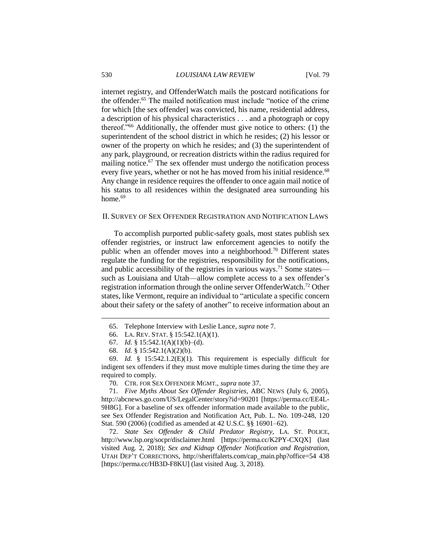internet registry, and OffenderWatch mails the postcard notifications for the offender.<sup>65</sup> The mailed notification must include "notice of the crime for which [the sex offender] was convicted, his name, residential address, a description of his physical characteristics . . . and a photograph or copy thereof."<sup>66</sup> Additionally, the offender must give notice to others: (1) the superintendent of the school district in which he resides; (2) his lessor or owner of the property on which he resides; and (3) the superintendent of any park, playground, or recreation districts within the radius required for mailing notice.<sup>67</sup> The sex offender must undergo the notification process every five years, whether or not he has moved from his initial residence.<sup>68</sup> Any change in residence requires the offender to once again mail notice of his status to all residences within the designated area surrounding his home.<sup>69</sup>

#### II. SURVEY OF SEX OFFENDER REGISTRATION AND NOTIFICATION LAWS

To accomplish purported public-safety goals, most states publish sex offender registries, or instruct law enforcement agencies to notify the public when an offender moves into a neighborhood.<sup>70</sup> Different states regulate the funding for the registries, responsibility for the notifications, and public accessibility of the registries in various ways.<sup>71</sup> Some states such as Louisiana and Utah—allow complete access to a sex offender's registration information through the online server OffenderWatch.<sup>72</sup> Other states, like Vermont, require an individual to "articulate a specific concern about their safety or the safety of another" to receive information about an

<sup>65.</sup> Telephone Interview with Leslie Lance, *supra* note 7.

<sup>66.</sup> LA. REV. STAT. § 15:542.1(A)(1).

<sup>67.</sup> *Id.* § 15:542.1(A)(1)(b)–(d).

<sup>68.</sup> *Id.* § 15:542.1(A)(2)(b).

<sup>69.</sup> *Id.* § 15:542.1.2(E)(1). This requirement is especially difficult for indigent sex offenders if they must move multiple times during the time they are required to comply.

<sup>70.</sup> CTR. FOR SEX OFFENDER MGMT., *supra* note 37.

<sup>71.</sup> *Five Myths About Sex Offender Registries*, ABC NEWS (July 6, 2005), http://abcnews.go.com/US/LegalCenter/story?id=90201 [https://perma.cc/EE4L-9H8G]. For a baseline of sex offender information made available to the public, see Sex Offender Registration and Notification Act, Pub. L. No. 109-248, 120 Stat. 590 (2006) (codified as amended at 42 U.S.C. §§ 16901–62).

<sup>72.</sup> *State Sex Offender & Child Predator Registry*, LA. ST. POLICE, http://www.lsp.org/socpr/disclaimer.html [https://perma.cc/K2PY-CXQX] (last visited Aug. 2, 2018); *Sex and Kidnap Offender Notification and Registration*, UTAH DEP'T CORRECTIONS, http://sheriffalerts.com/cap\_main.php?office=54 438 [https://perma.cc/HB3D-F8KU] (last visited Aug. 3, 2018).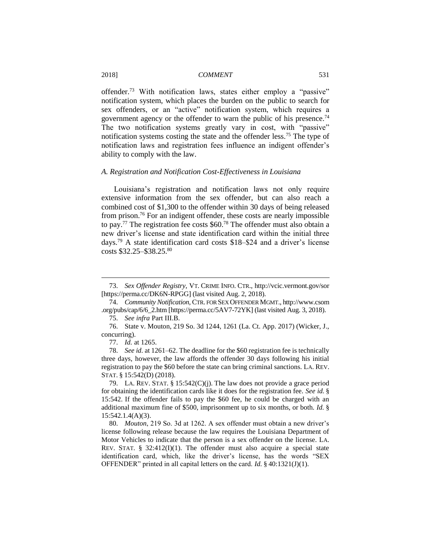offender.<sup>73</sup> With notification laws, states either employ a "passive" notification system, which places the burden on the public to search for sex offenders, or an "active" notification system, which requires a government agency or the offender to warn the public of his presence.<sup>74</sup> The two notification systems greatly vary in cost, with "passive" notification systems costing the state and the offender less.<sup>75</sup> The type of notification laws and registration fees influence an indigent offender's ability to comply with the law.

# *A. Registration and Notification Cost-Effectiveness in Louisiana*

Louisiana's registration and notification laws not only require extensive information from the sex offender, but can also reach a combined cost of \$1,300 to the offender within 30 days of being released from prison.<sup>76</sup> For an indigent offender, these costs are nearly impossible to pay.<sup>77</sup> The registration fee costs  $$60.^{78}$  The offender must also obtain a new driver's license and state identification card within the initial three days.<sup>79</sup> A state identification card costs \$18–\$24 and a driver's license costs \$32.25–\$38.25.<sup>80</sup>

<sup>73.</sup> *Sex Offender Registry,* VT. CRIME INFO. CTR., http://vcic.vermont.gov/sor [https://perma.cc/DK6N-RPGG] (last visited Aug. 2, 2018).

<sup>74.</sup> *Community Notification*, CTR. FOR SEX OFFENDER MGMT., http://www.csom .org/pubs/cap/6/6\_2.htm [https://perma.cc/5AV7-72YK] (last visited Aug. 3, 2018).

<sup>75.</sup> *See infra* Part III.B.

<sup>76.</sup> State v. Mouton, 219 So. 3d 1244, 1261 (La. Ct. App. 2017) (Wicker, J., concurring).

<sup>77.</sup> *Id.* at 1265.

<sup>78.</sup> *See id.* at 1261–62. The deadline for the \$60 registration fee is technically three days, however, the law affords the offender 30 days following his initial registration to pay the \$60 before the state can bring criminal sanctions. LA. REV. STAT. § 15:542(D) (2018).

<sup>79.</sup> LA. REV. STAT. § 15:542(C)(j). The law does not provide a grace period for obtaining the identification cards like it does for the registration fee. *See id.* § 15:542. If the offender fails to pay the \$60 fee, he could be charged with an additional maximum fine of \$500, imprisonment up to six months, or both. *Id.* § 15:542.1.4(A)(3).

<sup>80.</sup> *Mouton*, 219 So. 3d at 1262. A sex offender must obtain a new driver's license following release because the law requires the Louisiana Department of Motor Vehicles to indicate that the person is a sex offender on the license. LA. REV. STAT. §  $32:412(I)(1)$ . The offender must also acquire a special state identification card, which, like the driver's license, has the words "SEX OFFENDER" printed in all capital letters on the card. *Id.* § 40:1321(J)(1).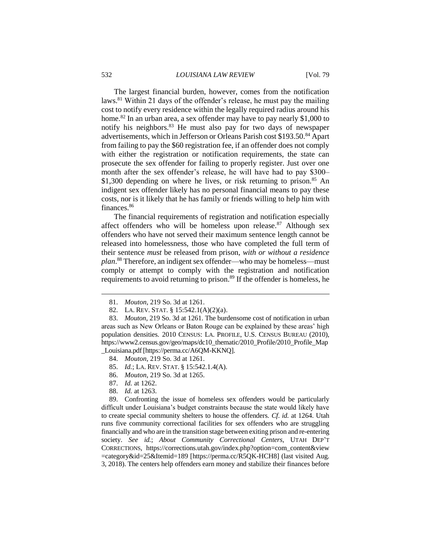The largest financial burden, however, comes from the notification laws.<sup>81</sup> Within 21 days of the offender's release, he must pay the mailing cost to notify every residence within the legally required radius around his home.<sup>82</sup> In an urban area, a sex offender may have to pay nearly \$1,000 to notify his neighbors.<sup>83</sup> He must also pay for two days of newspaper advertisements, which in Jefferson or Orleans Parish cost \$193.50.<sup>84</sup> Apart from failing to pay the \$60 registration fee, if an offender does not comply with either the registration or notification requirements, the state can prosecute the sex offender for failing to properly register. Just over one month after the sex offender's release, he will have had to pay \$300– \$1,300 depending on where he lives, or risk returning to prison.<sup>85</sup> An indigent sex offender likely has no personal financial means to pay these costs, nor is it likely that he has family or friends willing to help him with finances.<sup>86</sup>

The financial requirements of registration and notification especially affect offenders who will be homeless upon release.<sup>87</sup> Although sex offenders who have not served their maximum sentence length cannot be released into homelessness, those who have completed the full term of their sentence *must* be released from prison, *with or without a residence plan*. <sup>88</sup> Therefore, an indigent sex offender—who may be homeless—must comply or attempt to comply with the registration and notification requirements to avoid returning to prison.<sup>89</sup> If the offender is homeless, he

- 87. *Id.* at 1262.
- 88. *Id.* at 1263.

89. Confronting the issue of homeless sex offenders would be particularly difficult under Louisiana's budget constraints because the state would likely have to create special community shelters to house the offenders. *Cf*. *id.* at 1264. Utah runs five community correctional facilities for sex offenders who are struggling financially and who are in the transition stage between exiting prison and re-entering society. *See id.*; *About Community Correctional Centers*, UTAH DEP'T CORRECTIONS, https://corrections.utah.gov/index.php?option=com\_content&view =category&id=25&Itemid=189 [https://perma.cc/R5QK-HCH8] (last visited Aug. 3, 2018). The centers help offenders earn money and stabilize their finances before

<sup>81.</sup> *Mouton*, 219 So. 3d at 1261.

<sup>82.</sup> LA. REV. STAT. § 15:542.1(A)(2)(a).

<sup>83.</sup> *Mouton*, 219 So. 3d at 1261. The burdensome cost of notification in urban areas such as New Orleans or Baton Rouge can be explained by these areas' high population densities. 2010 CENSUS: LA. PROFILE, U.S. CENSUS BUREAU (2010), https://www2.census.gov/geo/maps/dc10\_thematic/2010\_Profile/2010\_Profile\_Map \_Louisiana.pdf[https://perma.cc/A6QM-KKNQ].

<sup>84.</sup> *Mouton*, 219 So. 3d at 1261.

<sup>85.</sup> *Id.*; LA. REV. STAT. § 15:542.1.4(A).

<sup>86.</sup> *Mouton*, 219 So. 3d at 1265.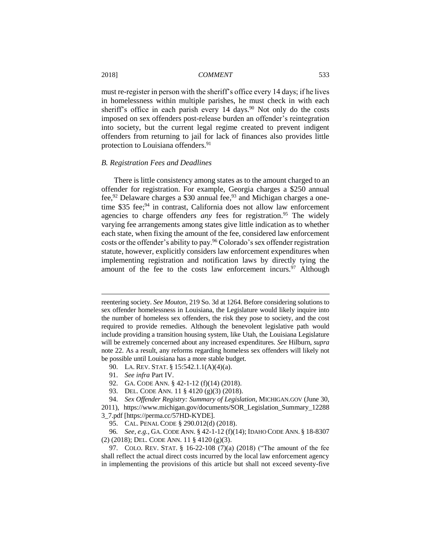must re-register in person with the sheriff's office every 14 days; if he lives in homelessness within multiple parishes, he must check in with each sheriff's office in each parish every  $14 \text{ days}$ .<sup>90</sup> Not only do the costs imposed on sex offenders post-release burden an offender's reintegration into society, but the current legal regime created to prevent indigent offenders from returning to jail for lack of finances also provides little protection to Louisiana offenders.<sup>91</sup>

#### *B. Registration Fees and Deadlines*

There is little consistency among states as to the amount charged to an offender for registration. For example, Georgia charges a \$250 annual fee,<sup>92</sup> Delaware charges a \$30 annual fee,<sup>93</sup> and Michigan charges a onetime \$35 fee;<sup>94</sup> in contrast, California does not allow law enforcement agencies to charge offenders *any* fees for registration. <sup>95</sup> The widely varying fee arrangements among states give little indication as to whether each state, when fixing the amount of the fee, considered law enforcement costs or the offender's ability to pay.<sup>96</sup> Colorado's sex offender registration statute, however, explicitly considers law enforcement expenditures when implementing registration and notification laws by directly tying the amount of the fee to the costs law enforcement incurs.<sup>97</sup> Although

reentering society. *See Mouton*, 219 So. 3d at 1264. Before considering solutions to sex offender homelessness in Louisiana, the Legislature would likely inquire into the number of homeless sex offenders, the risk they pose to society, and the cost required to provide remedies. Although the benevolent legislative path would include providing a transition housing system, like Utah, the Louisiana Legislature will be extremely concerned about any increased expenditures. *See* Hilburn, *supra* note 22. As a result, any reforms regarding homeless sex offenders will likely not be possible until Louisiana has a more stable budget.

<sup>90.</sup> LA. REV. STAT. § 15:542.1.1(A)(4)(a).

<sup>91.</sup> *See infra* Part IV.

<sup>92.</sup> GA. CODE ANN. § 42-1-12 (f)(14) (2018).

<sup>93.</sup> DEL. CODE ANN. 11 § 4120 (g)(3) (2018).

<sup>94.</sup> *Sex Offender Registry: Summary of Legislation*, MICHIGAN.GOV (June 30, 2011), https://www.michigan.gov/documents/SOR\_Legislation\_Summary\_12288 3\_7.pdf [https://perma.cc/57HD-KYDE].

<sup>95.</sup> CAL. PENAL CODE § 290.012(d) (2018).

<sup>96</sup>*. See, e.g.*, GA. CODE ANN. § 42-1-12 (f)(14); IDAHO CODE ANN. § 18-8307 (2) (2018); DEL. CODE ANN. 11 § 4120 (g)(3).

<sup>97.</sup> COLO. REV. STAT. § 16-22-108 (7)(a) (2018) ("The amount of the fee shall reflect the actual direct costs incurred by the local law enforcement agency in implementing the provisions of this article but shall not exceed seventy-five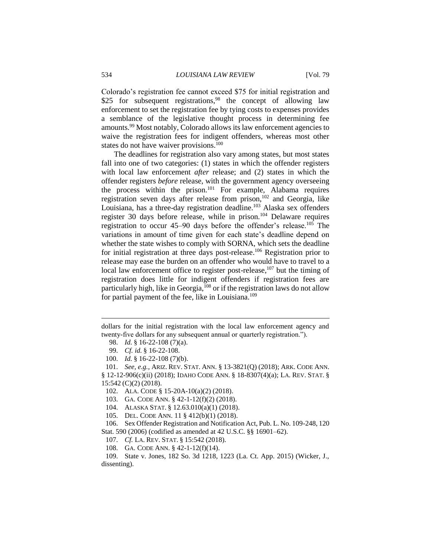Colorado's registration fee cannot exceed \$75 for initial registration and \$25 for subsequent registrations,<sup>98</sup> the concept of allowing law enforcement to set the registration fee by tying costs to expenses provides a semblance of the legislative thought process in determining fee amounts.<sup>99</sup> Most notably, Colorado allows its law enforcement agencies to waive the registration fees for indigent offenders, whereas most other states do not have waiver provisions.<sup>100</sup>

The deadlines for registration also vary among states, but most states fall into one of two categories: (1) states in which the offender registers with local law enforcement *after* release; and (2) states in which the offender registers *before* release, with the government agency overseeing the process within the prison.<sup>101</sup> For example, Alabama requires registration seven days after release from prison,<sup>102</sup> and Georgia, like Louisiana, has a three-day registration deadline.<sup>103</sup> Alaska sex offenders register 30 days before release, while in prison.<sup>104</sup> Delaware requires registration to occur 45–90 days before the offender's release.<sup>105</sup> The variations in amount of time given for each state's deadline depend on whether the state wishes to comply with SORNA, which sets the deadline for initial registration at three days post-release.<sup>106</sup> Registration prior to release may ease the burden on an offender who would have to travel to a local law enforcement office to register post-release,<sup>107</sup> but the timing of registration does little for indigent offenders if registration fees are particularly high, like in Georgia,  $^{108}$  or if the registration laws do not allow for partial payment of the fee, like in Louisiana.<sup>109</sup>

dollars for the initial registration with the local law enforcement agency and twenty-five dollars for any subsequent annual or quarterly registration.").

<sup>98.</sup> *Id.* § 16-22-108 (7)(a).

<sup>99.</sup> *Cf. id.* § 16-22-108.

<sup>100.</sup> *Id.* § 16-22-108 (7)(b).

<sup>101.</sup> *See, e.g.*, ARIZ. REV. STAT. ANN. § 13-3821(Q) (2018); ARK. CODE ANN.

<sup>§ 12-12-906(</sup>c)(ii) (2018); IDAHO CODE ANN. § 18-8307(4)(a); LA. REV. STAT. § 15:542 (C)(2) (2018).

<sup>102.</sup> ALA. CODE § 15-20A-10(a)(2) (2018).

<sup>103.</sup> GA. CODE ANN. § 42-1-12(f)(2) (2018).

<sup>104.</sup> ALASKA STAT. § 12.63.010(a)(1) (2018).

<sup>105.</sup> DEL. CODE ANN. 11 § 412(b)(1) (2018).

<sup>106.</sup> Sex Offender Registration and Notification Act, Pub. L. No. 109-248, 120 Stat. 590 (2006) (codified as amended at 42 U.S.C. §§ 16901–62).

<sup>107.</sup> *Cf.* LA. REV. STAT. § 15:542 (2018).

<sup>108.</sup> GA. CODE ANN. § 42-1-12(f)(14).

<sup>109.</sup> State v. Jones, 182 So. 3d 1218, 1223 (La. Ct. App. 2015) (Wicker, J., dissenting).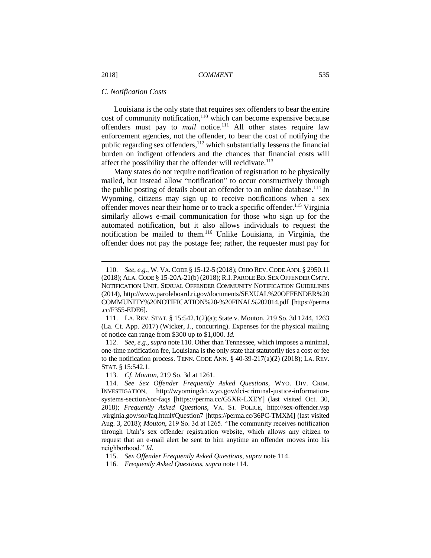## *C. Notification Costs*

Louisiana is the only state that requires sex offenders to bear the entire cost of community notification,<sup>110</sup> which can become expensive because offenders must pay to *mail* notice. <sup>111</sup> All other states require law enforcement agencies, not the offender, to bear the cost of notifying the public regarding sex offenders, <sup>112</sup> which substantially lessens the financial burden on indigent offenders and the chances that financial costs will affect the possibility that the offender will recidivate.<sup>113</sup>

Many states do not require notification of registration to be physically mailed, but instead allow "notification" to occur constructively through the public posting of details about an offender to an online database.<sup>114</sup> In Wyoming, citizens may sign up to receive notifications when a sex offender moves near their home or to track a specific offender.<sup>115</sup> Virginia similarly allows e-mail communication for those who sign up for the automated notification, but it also allows individuals to request the notification be mailed to them.<sup>116</sup> Unlike Louisiana, in Virginia, the offender does not pay the postage fee; rather, the requester must pay for

<sup>110.</sup> *See, e.g.*, W. VA.CODE § 15-12-5 (2018); OHIO REV. CODE ANN. § 2950.11 (2018); ALA. CODE § 15-20A-21(b) (2018); R.I. PAROLE BD. SEX OFFENDER CMTY. NOTIFICATION UNIT, SEXUAL OFFENDER COMMUNITY NOTIFICATION GUIDELINES (2014), http://www.paroleboard.ri.gov/documents/SEXUAL%20OFFENDER%20 COMMUNITY%20NOTIFICATION%20-%20FINAL%202014.pdf [https://perma .cc/F355-EDE6].

<sup>111.</sup> LA. REV. STAT. § 15:542.1(2)(a); State v. Mouton, 219 So. 3d 1244, 1263 (La. Ct. App. 2017) (Wicker, J., concurring). Expenses for the physical mailing of notice can range from \$300 up to \$1,000. *Id.*

<sup>112.</sup> *See, e.g.*, *supra* note 110. Other than Tennessee, which imposes a minimal, one-time notification fee, Louisiana is the only state that statutorily ties a cost or fee to the notification process. TENN. CODE ANN.  $\S$  40-39-217(a)(2) (2018); LA. REV. STAT. § 15:542.1.

<sup>113.</sup> *Cf. Mouton*, 219 So. 3d at 1261.

<sup>114.</sup> *See Sex Offender Frequently Asked Questions*, WYO. DIV. CRIM. INVESTIGATION, http://wyomingdci.wyo.gov/dci-criminal-justice-informationsystems-section/sor-faqs [https://perma.cc/G5XR-LXEY] (last visited Oct. 30, 2018); *Frequently Asked Questions*, VA. ST. POLICE, http://sex-offender.vsp .virginia.gov/sor/faq.html#Question7 [https://perma.cc/36PC-TMXM] (last visited Aug. 3, 2018); *Mouton*, 219 So. 3d at 1265. "The community receives notification through Utah's sex offender registration website, which allows any citizen to request that an e-mail alert be sent to him anytime an offender moves into his neighborhood." *Id.*

<sup>115.</sup> *Sex Offender Frequently Asked Questions*, *supra* note 114.

<sup>116.</sup> *Frequently Asked Questions*, *supra* note 114.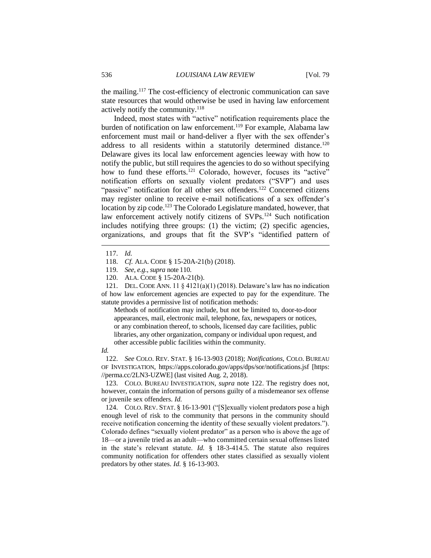the mailing.<sup>117</sup> The cost-efficiency of electronic communication can save state resources that would otherwise be used in having law enforcement actively notify the community.<sup>118</sup>

Indeed, most states with "active" notification requirements place the burden of notification on law enforcement.<sup>119</sup> For example, Alabama law enforcement must mail or hand-deliver a flyer with the sex offender's address to all residents within a statutorily determined distance.<sup>120</sup> Delaware gives its local law enforcement agencies leeway with how to notify the public, but still requires the agencies to do so without specifying how to fund these efforts.<sup>121</sup> Colorado, however, focuses its "active" notification efforts on sexually violent predators ("SVP") and uses "passive" notification for all other sex offenders.<sup>122</sup> Concerned citizens may register online to receive e-mail notifications of a sex offender's location by zip code.<sup>123</sup> The Colorado Legislature mandated, however, that law enforcement actively notify citizens of SVPs.<sup>124</sup> Such notification includes notifying three groups: (1) the victim; (2) specific agencies, organizations, and groups that fit the SVP's "identified pattern of

 $\overline{a}$ 

121. DEL. CODE ANN. 11 § 4121(a)(1) (2018). Delaware's law has no indication of how law enforcement agencies are expected to pay for the expenditure. The statute provides a permissive list of notification methods:

Methods of notification may include, but not be limited to, door-to-door appearances, mail, electronic mail, telephone, fax, newspapers or notices, or any combination thereof, to schools, licensed day care facilities, public libraries, any other organization, company or individual upon request, and other accessible public facilities within the community.

*Id.*

122. *See* COLO. REV. STAT. § 16-13-903 (2018); *Notifications,* COLO. BUREAU OF INVESTIGATION, https://apps.colorado.gov/apps/dps/sor/notifications.jsf [https: //perma.cc/2LN3-UZWE] (last visited Aug. 2, 2018).

123. COLO. BUREAU INVESTIGATION, *supra* note 122. The registry does not, however, contain the information of persons guilty of a misdemeanor sex offense or juvenile sex offenders. *Id.*

124. COLO. REV. STAT. § 16-13-901 ("[S]exually violent predators pose a high enough level of risk to the community that persons in the community should receive notification concerning the identity of these sexually violent predators."). Colorado defines "sexually violent predator" as a person who is above the age of 18—or a juvenile tried as an adult—who committed certain sexual offenses listed in the state's relevant statute. *Id.* § 18-3-414.5. The statute also requires community notification for offenders other states classified as sexually violent predators by other states. *Id.* § 16-13-903.

<sup>117.</sup> *Id.*

<sup>118.</sup> *Cf.* ALA. CODE § 15-20A-21(b) (2018).

<sup>119.</sup> *See, e.g.*, *supra* note 110.

<sup>120.</sup> ALA. CODE § 15-20A-21(b).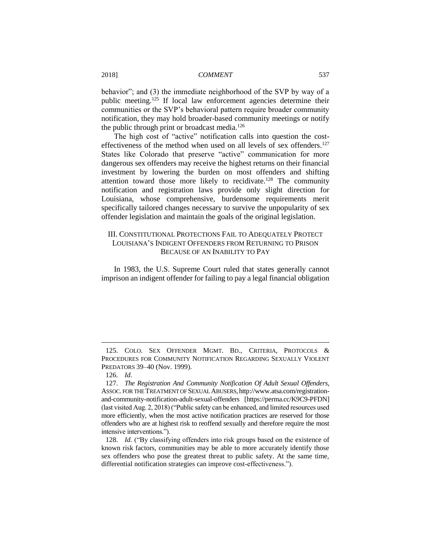behavior"; and (3) the immediate neighborhood of the SVP by way of a public meeting.<sup>125</sup> If local law enforcement agencies determine their communities or the SVP's behavioral pattern require broader community notification, they may hold broader-based community meetings or notify the public through print or broadcast media.<sup>126</sup>

The high cost of "active" notification calls into question the costeffectiveness of the method when used on all levels of sex offenders.<sup>127</sup> States like Colorado that preserve "active" communication for more dangerous sex offenders may receive the highest returns on their financial investment by lowering the burden on most offenders and shifting attention toward those more likely to recidivate.<sup>128</sup> The community notification and registration laws provide only slight direction for Louisiana, whose comprehensive, burdensome requirements merit specifically tailored changes necessary to survive the unpopularity of sex offender legislation and maintain the goals of the original legislation.

# III. CONSTITUTIONAL PROTECTIONS FAIL TO ADEQUATELY PROTECT LOUISIANA'S INDIGENT OFFENDERS FROM RETURNING TO PRISON BECAUSE OF AN INABILITY TO PAY

In 1983, the U.S. Supreme Court ruled that states generally cannot imprison an indigent offender for failing to pay a legal financial obligation

<sup>125.</sup> COLO. SEX OFFENDER MGMT. BD., CRITERIA, PROTOCOLS & PROCEDURES FOR COMMUNITY NOTIFICATION REGARDING SEXUALLY VIOLENT PREDATORS 39–40 (Nov. 1999).

<sup>126.</sup> *Id.*

<sup>127.</sup> *The Registration And Community Notification Of Adult Sexual Offenders*, ASSOC. FOR THE TREATMENT OF SEXUAL ABUSERS, http://www.atsa.com/registrationand-community-notification-adult-sexual-offenders [https://perma.cc/K9C9-PFDN] (last visited Aug. 2, 2018) ("Public safety can be enhanced, and limited resources used more efficiently, when the most active notification practices are reserved for those offenders who are at highest risk to reoffend sexually and therefore require the most intensive interventions.").

<sup>128.</sup> *Id.* ("By classifying offenders into risk groups based on the existence of known risk factors, communities may be able to more accurately identify those sex offenders who pose the greatest threat to public safety. At the same time, differential notification strategies can improve cost-effectiveness.").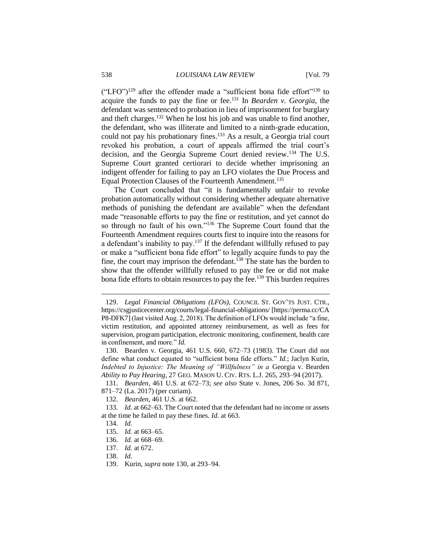("LFO")<sup>129</sup> after the offender made a "sufficient bona fide effort"<sup>130</sup> to acquire the funds to pay the fine or fee.<sup>131</sup> In *Bearden v. Georgia*, the defendant was sentenced to probation in lieu of imprisonment for burglary and theft charges.<sup>132</sup> When he lost his job and was unable to find another, the defendant, who was illiterate and limited to a ninth-grade education, could not pay his probationary fines.<sup>133</sup> As a result, a Georgia trial court revoked his probation, a court of appeals affirmed the trial court's decision, and the Georgia Supreme Court denied review.<sup>134</sup> The U.S. Supreme Court granted certiorari to decide whether imprisoning an indigent offender for failing to pay an LFO violates the Due Process and Equal Protection Clauses of the Fourteenth Amendment.<sup>135</sup>

The Court concluded that "it is fundamentally unfair to revoke probation automatically without considering whether adequate alternative methods of punishing the defendant are available" when the defendant made "reasonable efforts to pay the fine or restitution, and yet cannot do so through no fault of his own."<sup>136</sup> The Supreme Court found that the Fourteenth Amendment requires courts first to inquire into the reasons for a defendant's inability to pay.<sup>137</sup> If the defendant willfully refused to pay or make a "sufficient bona fide effort" to legally acquire funds to pay the fine, the court may imprison the defendant.<sup>138</sup> The state has the burden to show that the offender willfully refused to pay the fee or did not make bona fide efforts to obtain resources to pay the fee.<sup>139</sup> This burden requires

<sup>129.</sup> *Legal Financial Obligations (LFOs)*, COUNCIL ST. GOV'TS JUST. CTR., https://csgjusticecenter.org/courts/legal-financial-obligations/ [https://perma.cc/CA P8-DFK7] (last visited Aug. 2, 2018). The definition of LFOs would include "a fine, victim restitution, and appointed attorney reimbursement, as well as fees for supervision, program participation, electronic monitoring, confinement, health care in confinement, and more." *Id*.

<sup>130.</sup> Bearden v. Georgia, 461 U.S. 660, 672–73 (1983). The Court did not define what conduct equated to "sufficient bona fide efforts." *Id.*; Jaclyn Kurin, *Indebted to Injustice: The Meaning of "Willfulness" in a* Georgia v. Bearden *Ability to Pay Hearing*, 27 GEO. MASON U. CIV. RTS. L.J. 265, 293–94 (2017).

<sup>131.</sup> *Bearden*, 461 U.S. at 672–73; *see also* State v. Jones, 206 So. 3d 871, 871–72 (La. 2017) (per curiam).

<sup>132.</sup> *Bearden*, 461 U.S. at 662.

<sup>133.</sup> *Id.* at 662–63. The Court noted that the defendant had no income or assets at the time he failed to pay these fines. *Id.* at 663.

<sup>134.</sup> *Id.*

<sup>135.</sup> *Id.* at 663–65.

<sup>136.</sup> *Id.* at 668–69.

<sup>137.</sup> *Id.* at 672.

<sup>138.</sup> *Id.*

<sup>139.</sup> Kurin, *supra* note 130, at 293–94.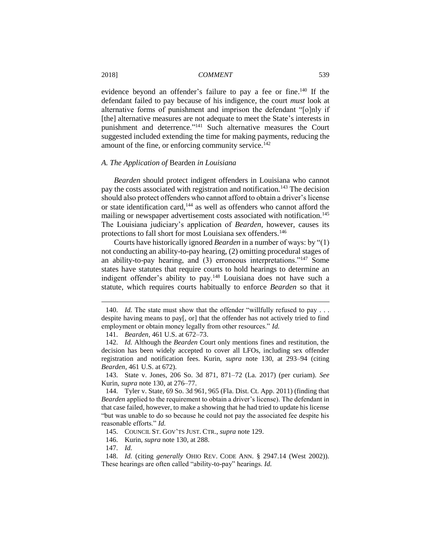evidence beyond an offender's failure to pay a fee or fine.<sup>140</sup> If the defendant failed to pay because of his indigence, the court *must* look at alternative forms of punishment and imprison the defendant "[o]nly if [the] alternative measures are not adequate to meet the State's interests in punishment and deterrence."<sup>141</sup> Such alternative measures the Court suggested included extending the time for making payments, reducing the amount of the fine, or enforcing community service.<sup>142</sup>

#### *A. The Application of* Bearden *in Louisiana*

*Bearden* should protect indigent offenders in Louisiana who cannot pay the costs associated with registration and notification.<sup>143</sup> The decision should also protect offenders who cannot afford to obtain a driver's license or state identification card,<sup>144</sup> as well as offenders who cannot afford the mailing or newspaper advertisement costs associated with notification.<sup>145</sup> The Louisiana judiciary's application of *Bearden*, however, causes its protections to fall short for most Louisiana sex offenders.<sup>146</sup>

Courts have historically ignored *Bearden* in a number of ways: by "(1) not conducting an ability-to-pay hearing, (2) omitting procedural stages of an ability-to-pay hearing, and (3) erroneous interpretations."<sup>147</sup> Some states have statutes that require courts to hold hearings to determine an indigent offender's ability to pay.<sup>148</sup> Louisiana does not have such a statute, which requires courts habitually to enforce *Bearden* so that it

<sup>140.</sup> *Id.* The state must show that the offender "willfully refused to pay . . . despite having means to pay[, or] that the offender has not actively tried to find employment or obtain money legally from other resources." *Id.*

<sup>141.</sup> *Bearden*, 461 U.S. at 672–73.

<sup>142.</sup> *Id.* Although the *Bearden* Court only mentions fines and restitution, the decision has been widely accepted to cover all LFOs, including sex offender registration and notification fees. Kurin, *supra* note 130, at 293–94 (citing *Bearden*, 461 U.S. at 672).

<sup>143.</sup> State v. Jones, 206 So. 3d 871, 871–72 (La. 2017) (per curiam). *See* Kurin, *supra* note 130, at 276–77.

<sup>144.</sup> Tyler v. State, 69 So. 3d 961, 965 (Fla. Dist. Ct. App. 2011) (finding that *Bearden* applied to the requirement to obtain a driver's license). The defendant in that case failed, however, to make a showing that he had tried to update his license "but was unable to do so because he could not pay the associated fee despite his reasonable efforts." *Id.*

<sup>145.</sup> COUNCIL ST. GOV'TS JUST. CTR., *supra* note 129.

<sup>146.</sup> Kurin, *supra* note 130, at 288.

<sup>147.</sup> *Id.*

<sup>148.</sup> *Id.* (citing *generally* OHIO REV. CODE ANN. § 2947.14 (West 2002)). These hearings are often called "ability-to-pay" hearings. *Id.*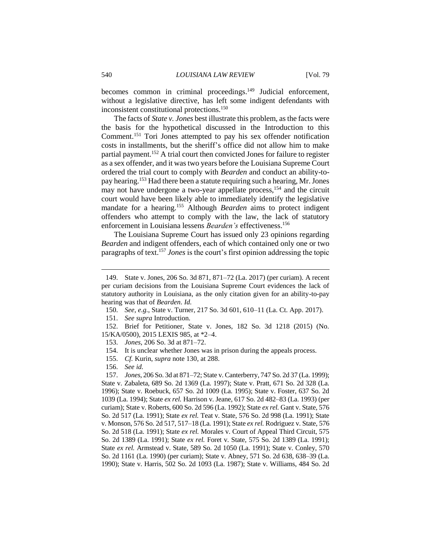becomes common in criminal proceedings.<sup>149</sup> Judicial enforcement, without a legislative directive, has left some indigent defendants with inconsistent constitutional protections.<sup>150</sup>

The facts of *State v. Jones* best illustrate this problem, as the facts were the basis for the hypothetical discussed in the Introduction to this Comment.<sup>151</sup> Tori Jones attempted to pay his sex offender notification costs in installments, but the sheriff's office did not allow him to make partial payment.<sup>152</sup> A trial court then convicted Jones for failure to register as a sex offender, and it was two years before the Louisiana Supreme Court ordered the trial court to comply with *Bearden* and conduct an ability-topay hearing. <sup>153</sup> Had there been a statute requiring such a hearing, Mr. Jones may not have undergone a two-year appellate process,<sup>154</sup> and the circuit court would have been likely able to immediately identify the legislative mandate for a hearing.<sup>155</sup> Although *Bearden* aims to protect indigent offenders who attempt to comply with the law, the lack of statutory enforcement in Louisiana lessens *Bearden's* effectiveness.<sup>156</sup>

The Louisiana Supreme Court has issued only 23 opinions regarding *Bearden* and indigent offenders, each of which contained only one or two paragraphs of text.<sup>157</sup> *Jones* is the court's first opinion addressing the topic

153. *Jones*, 206 So. 3d at 871–72.

- 155. *Cf.* Kurin, *supra* note 130, at 288.
- 156. *See id.*

 $\overline{a}$ 

157. *Jones*, 206 So. 3d at 871–72; State v. Canterberry, 747 So. 2d 37 (La. 1999); State v. Zabaleta, 689 So. 2d 1369 (La. 1997); State v. Pratt, 671 So. 2d 328 (La. 1996); State v. Roebuck, 657 So. 2d 1009 (La. 1995); State v. Foster, 637 So. 2d 1039 (La. 1994); State *ex rel.* Harrison v. Jeane, 617 So. 2d 482–83 (La. 1993) (per curiam); State v. Roberts, 600 So. 2d 596 (La. 1992); State *ex rel.* Gant v. State, 576 So. 2d 517 (La. 1991); State *ex rel.* Teat v. State, 576 So. 2d 998 (La. 1991); State v. Monson, 576 So. 2d 517, 517–18 (La. 1991); State *ex rel.* Rodriguez v. State, 576 So. 2d 518 (La. 1991); State *ex rel.* Morales v. Court of Appeal Third Circuit, 575 So. 2d 1389 (La. 1991); State *ex rel.* Foret v. State, 575 So. 2d 1389 (La. 1991); State *ex rel.* Armstead v. State, 589 So. 2d 1050 (La. 1991); State v. Conley, 570 So. 2d 1161 (La. 1990) (per curiam); State v. Abney, 571 So. 2d 638, 638–39 (La. 1990); State v. Harris, 502 So. 2d 1093 (La. 1987); State v. Williams, 484 So. 2d

<sup>149.</sup> State v. Jones, 206 So. 3d 871, 871–72 (La. 2017) (per curiam). A recent per curiam decisions from the Louisiana Supreme Court evidences the lack of statutory authority in Louisiana, as the only citation given for an ability-to-pay hearing was that of *Bearden*. *Id.*

<sup>150.</sup> *See, e.g.*, State v. Turner, 217 So. 3d 601, 610–11 (La. Ct. App. 2017).

<sup>151.</sup> *See supra* Introduction.

<sup>152.</sup> Brief for Petitioner, State v. Jones, 182 So. 3d 1218 (2015) (No. 15/KA/0500), 2015 LEXIS 985, at \*2–4.

<sup>154.</sup> It is unclear whether Jones was in prison during the appeals process.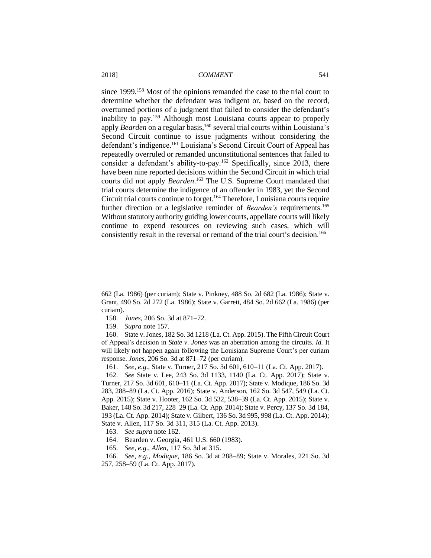since 1999.<sup>158</sup> Most of the opinions remanded the case to the trial court to determine whether the defendant was indigent or, based on the record, overturned portions of a judgment that failed to consider the defendant's inability to pay.<sup>159</sup> Although most Louisiana courts appear to properly apply *Bearden* on a regular basis,<sup>160</sup> several trial courts within Louisiana's Second Circuit continue to issue judgments without considering the defendant's indigence.<sup>161</sup> Louisiana's Second Circuit Court of Appeal has repeatedly overruled or remanded unconstitutional sentences that failed to consider a defendant's ability-to-pay.<sup>162</sup> Specifically, since 2013, there have been nine reported decisions within the Second Circuit in which trial courts did not apply *Bearden*. <sup>163</sup> The U.S. Supreme Court mandated that trial courts determine the indigence of an offender in 1983, yet the Second Circuit trial courts continue to forget.<sup>164</sup> Therefore, Louisiana courts require further direction or a legislative reminder of *Bearden's* requirements.<sup>165</sup> Without statutory authority guiding lower courts, appellate courts will likely continue to expend resources on reviewing such cases, which will consistently result in the reversal or remand of the trial court's decision.<sup>166</sup>

- 158. *Jones*, 206 So. 3d at 871–72.
- 159. *Supra* note 157.

 $\overline{a}$ 

161. *See, e.g.*, State v. Turner, 217 So. 3d 601, 610–11 (La. Ct. App. 2017).

162. *See* State v. Lee, 243 So. 3d 1133, 1140 (La. Ct. App. 2017); State v. Turner, 217 So. 3d 601, 610–11 (La. Ct. App. 2017); State v. Modique, 186 So. 3d 283, 288–89 (La. Ct. App. 2016); State v. Anderson, 162 So. 3d 547, 549 (La. Ct. App. 2015); State v. Hooter, 162 So. 3d 532, 538–39 (La. Ct. App. 2015); State v. Baker, 148 So. 3d 217, 228–29 (La. Ct. App. 2014); State v. Percy, 137 So. 3d 184, 193 (La. Ct. App. 2014); State v. Gilbert, 136 So. 3d 995, 998 (La. Ct. App. 2014); State v. Allen, 117 So. 3d 311, 315 (La. Ct. App. 2013).

164. Bearden v. Georgia, 461 U.S. 660 (1983).

166. *See, e.g.*, *Modique*, 186 So. 3d at 288–89; State v. Morales, 221 So. 3d 257, 258–59 (La. Ct. App. 2017).

<sup>662 (</sup>La. 1986) (per curiam); State v. Pinkney, 488 So. 2d 682 (La. 1986); State v. Grant, 490 So. 2d 272 (La. 1986); State v. Garrett, 484 So. 2d 662 (La. 1986) (per curiam).

<sup>160.</sup> State v. Jones, 182 So. 3d 1218 (La. Ct. App. 2015). The Fifth Circuit Court of Appeal's decision in *State v. Jones* was an aberration among the circuits. *Id.* It will likely not happen again following the Louisiana Supreme Court's per curiam response. *Jones*, 206 So. 3d at 871–72 (per curiam).

<sup>163.</sup> *See supra* note 162.

<sup>165.</sup> *See, e.g.*, *Allen*, 117 So. 3d at 315.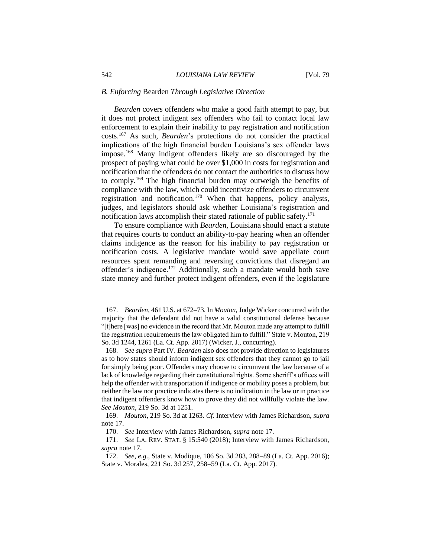#### *B. Enforcing* Bearden *Through Legislative Direction*

*Bearden* covers offenders who make a good faith attempt to pay, but it does not protect indigent sex offenders who fail to contact local law enforcement to explain their inability to pay registration and notification costs.<sup>167</sup> As such, *Bearden*'s protections do not consider the practical implications of the high financial burden Louisiana's sex offender laws impose.<sup>168</sup> Many indigent offenders likely are so discouraged by the prospect of paying what could be over \$1,000 in costs for registration and notification that the offenders do not contact the authorities to discuss how to comply.<sup>169</sup> The high financial burden may outweigh the benefits of compliance with the law, which could incentivize offenders to circumvent registration and notification.<sup>170</sup> When that happens, policy analysts, judges, and legislators should ask whether Louisiana's registration and notification laws accomplish their stated rationale of public safety.<sup>171</sup>

To ensure compliance with *Bearden*, Louisiana should enact a statute that requires courts to conduct an ability-to-pay hearing when an offender claims indigence as the reason for his inability to pay registration or notification costs. A legislative mandate would save appellate court resources spent remanding and reversing convictions that disregard an offender's indigence.<sup>172</sup> Additionally, such a mandate would both save state money and further protect indigent offenders, even if the legislature

<sup>167.</sup> *Bearden*, 461 U.S. at 672–73. In *Mouton*, Judge Wicker concurred with the majority that the defendant did not have a valid constitutional defense because "[t]here [was] no evidence in the record that Mr. Mouton made any attempt to fulfill the registration requirements the law obligated him to fulfill." State v. Mouton, 219 So. 3d 1244, 1261 (La. Ct. App. 2017) (Wicker, J., concurring).

<sup>168.</sup> *See supra* Part IV. *Bearden* also does not provide direction to legislatures as to how states should inform indigent sex offenders that they cannot go to jail for simply being poor. Offenders may choose to circumvent the law because of a lack of knowledge regarding their constitutional rights. Some sheriff's offices will help the offender with transportation if indigence or mobility poses a problem, but neither the law nor practice indicates there is no indication in the law or in practice that indigent offenders know how to prove they did not willfully violate the law. *See Mouton*, 219 So. 3d at 1251.

<sup>169.</sup> *Mouton*, 219 So. 3d at 1263. *Cf.* Interview with James Richardson, *supra* note 17.

<sup>170.</sup> *See* Interview with James Richardson, *supra* note 17.

<sup>171.</sup> *See* LA. REV. STAT. § 15:540 (2018); Interview with James Richardson, *supra* note 17.

<sup>172.</sup> *See, e.g*., State v. Modique, 186 So. 3d 283, 288–89 (La. Ct. App. 2016); State v. Morales, 221 So. 3d 257, 258–59 (La. Ct. App. 2017).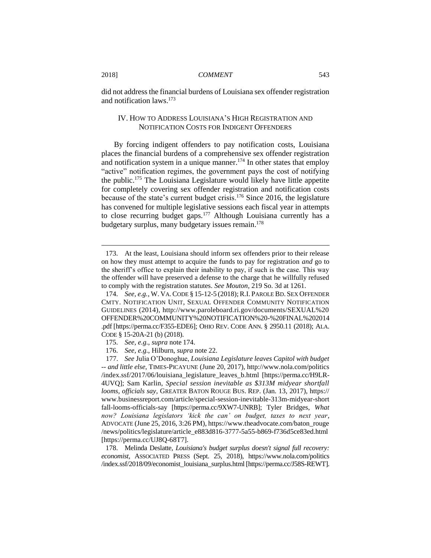did not address the financial burdens of Louisiana sex offender registration and notification laws.<sup>173</sup>

# IV. HOW TO ADDRESS LOUISIANA'S HIGH REGISTRATION AND NOTIFICATION COSTS FOR INDIGENT OFFENDERS

By forcing indigent offenders to pay notification costs, Louisiana places the financial burdens of a comprehensive sex offender registration and notification system in a unique manner.<sup>174</sup> In other states that employ "active" notification regimes, the government pays the cost of notifying the public.<sup>175</sup> The Louisiana Legislature would likely have little appetite for completely covering sex offender registration and notification costs because of the state's current budget crisis.<sup>176</sup> Since 2016, the legislature has convened for multiple legislative sessions each fiscal year in attempts to close recurring budget gaps.<sup>177</sup> Although Louisiana currently has a budgetary surplus, many budgetary issues remain. 178

<sup>173.</sup> At the least, Louisiana should inform sex offenders prior to their release on how they must attempt to acquire the funds to pay for registration *and* go to the sheriff's office to explain their inability to pay, if such is the case. This way the offender will have preserved a defense to the charge that he willfully refused to comply with the registration statutes. *See Mouton*, 219 So. 3d at 1261.

<sup>174.</sup> *See, e.g.*, W. VA. CODE § 15-12-5 (2018);R.I. PAROLE BD. SEX OFFENDER CMTY. NOTIFICATION UNIT, SEXUAL OFFENDER COMMUNITY NOTIFICATION GUIDELINES (2014), http://www.paroleboard.ri.gov/documents/SEXUAL%20 OFFENDER%20COMMUNITY%20NOTIFICATION%20-%20FINAL%202014 .pdf [https://perma.cc/F355-EDE6]; OHIO REV. CODE ANN. § 2950.11 (2018); ALA. CODE § 15-20A-21 (b) (2018).

<sup>175.</sup> *See, e.g.*, *supra* note 174.

<sup>176.</sup> *See, e.g.*, Hilburn, *supra* note 22.

<sup>177.</sup> *See* Julia O'Donoghue, *Louisiana Legislature leaves Capitol with budget -- and little else*, TIMES-PICAYUNE (June 20, 2017), http://www.nola.com/politics /index.ssf/2017/06/louisiana\_legislature\_leaves\_b.html [https://perma.cc/H9LR-4UVQ]; Sam Karlin, *Special session inevitable as \$313M midyear shortfall looms, officials say*, GREATER BATON ROUGE BUS. REP. (Jan. 13, 2017), https:// www.businessreport.com/article/special-session-inevitable-313m-midyear-short fall-looms-officials-say [https://perma.cc/9XW7-UNRB]; Tyler Bridges, *What now? Louisiana legislators 'kick the can' on budget, taxes to next year*, ADVOCATE (June 25, 2016, 3:26 PM), https://www.theadvocate.com/baton\_rouge /news/politics/legislature/article\_e883d816-3777-5a55-b869-f736d5ce83ed.html [https://perma.cc/UJ8Q-68T7].

<sup>178.</sup> Melinda Deslatte, *Louisiana's budget surplus doesn't signal full recovery: economist*, ASSOCIATED PRESS (Sept. 25, 2018), https://www.nola.com/politics /index.ssf/2018/09/economist\_louisiana\_surplus.html [https://perma.cc/J58S-REWT].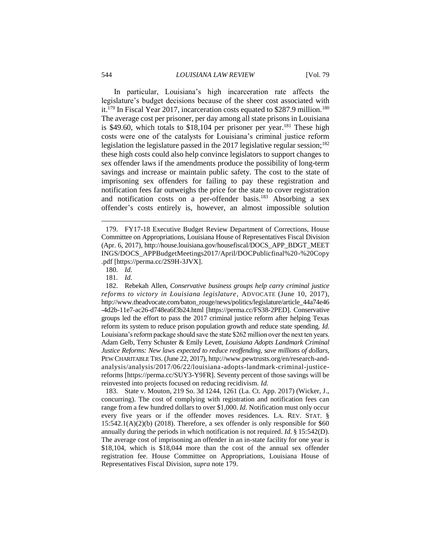In particular, Louisiana's high incarceration rate affects the legislature's budget decisions because of the sheer cost associated with it.<sup>179</sup> In Fiscal Year 2017, incarceration costs equated to \$287.9 million.<sup>180</sup> The average cost per prisoner, per day among all state prisons in Louisiana is \$49.60, which totals to \$18,104 per prisoner per year.<sup>181</sup> These high costs were one of the catalysts for Louisiana's criminal justice reform legislation the legislature passed in the 2017 legislative regular session;<sup>182</sup> these high costs could also help convince legislators to support changes to sex offender laws if the amendments produce the possibility of long-term savings and increase or maintain public safety. The cost to the state of imprisoning sex offenders for failing to pay these registration and notification fees far outweighs the price for the state to cover registration and notification costs on a per-offender basis.<sup>183</sup> Absorbing a sex offender's costs entirely is, however, an almost impossible solution

<sup>179.</sup> FY17-18 Executive Budget Review Department of Corrections, House Committee on Appropriations, Louisiana House of Representatives Fiscal Division (Apr. 6, 2017), http://house.louisiana.gov/housefiscal/DOCS\_APP\_BDGT\_MEET INGS/DOCS\_APPBudgetMeetings2017/April/DOCPublicfinal%20-%20Copy .pdf [https://perma.cc/2S9H-3JVX].

<sup>180.</sup> *Id.*

<sup>181</sup>*. Id.*

<sup>182.</sup> Rebekah Allen, *Conservative business groups help carry criminal justice reforms to victory in Louisiana legislature*, ADVOCATE (June 10, 2017), http://www.theadvocate.com/baton\_rouge/news/politics/legislature/article\_44a74e46 -4d2b-11e7-ac26-d748ea6f3b24.html [https://perma.cc/FS38-2PED]. Conservative groups led the effort to pass the 2017 criminal justice reform after helping Texas reform its system to reduce prison population growth and reduce state spending. *Id.*  Louisiana's reform package should save the state \$262 million over the next ten years. Adam Gelb, Terry Schuster & Emily Levett, *Louisiana Adopts Landmark Criminal Justice Reforms: New laws expected to reduce reoffending, save millions of dollars*, PEW CHARITABLE TRS. (June 22, 2017), http://www.pewtrusts.org/en/research-andanalysis/analysis/2017/06/22/louisiana-adopts-landmark-criminal-justicereforms [https://perma.cc/SUY3-Y9FR]. Seventy percent of those savings will be reinvested into projects focused on reducing recidivism. *Id.*

<sup>183.</sup> State v. Mouton, 219 So. 3d 1244, 1261 (La. Ct. App. 2017) (Wicker, J., concurring). The cost of complying with registration and notification fees can range from a few hundred dollars to over \$1,000. *Id.* Notification must only occur every five years or if the offender moves residences. LA. REV. STAT. §  $15:542.1(A)(2)(b)$  (2018). Therefore, a sex offender is only responsible for \$60 annually during the periods in which notification is not required. *Id.* § 15:542(D). The average cost of imprisoning an offender in an in-state facility for one year is \$18,104, which is \$18,044 more than the cost of the annual sex offender registration fee. House Committee on Appropriations, Louisiana House of Representatives Fiscal Division, *supra* note 179.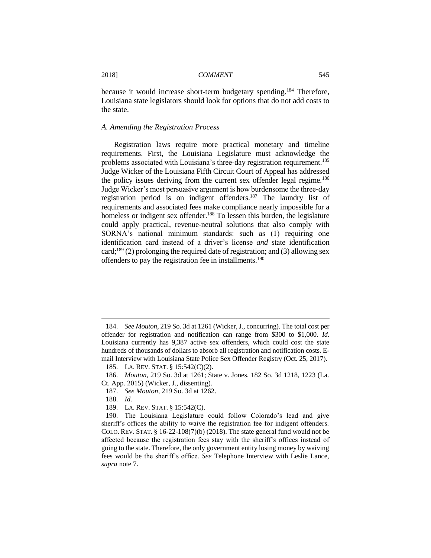because it would increase short-term budgetary spending. <sup>184</sup> Therefore, Louisiana state legislators should look for options that do not add costs to the state.

# *A. Amending the Registration Process*

Registration laws require more practical monetary and timeline requirements. First, the Louisiana Legislature must acknowledge the problems associated with Louisiana's three-day registration requirement.<sup>185</sup> Judge Wicker of the Louisiana Fifth Circuit Court of Appeal has addressed the policy issues deriving from the current sex offender legal regime.<sup>186</sup> Judge Wicker's most persuasive argument is how burdensome the three-day registration period is on indigent offenders.<sup>187</sup> The laundry list of requirements and associated fees make compliance nearly impossible for a homeless or indigent sex offender.<sup>188</sup> To lessen this burden, the legislature could apply practical, revenue-neutral solutions that also comply with SORNA's national minimum standards: such as (1) requiring one identification card instead of a driver's license *and* state identification card;<sup>189</sup> (2) prolonging the required date of registration; and (3) allowing sex offenders to pay the registration fee in installments.<sup>190</sup>

<sup>184.</sup> *See Mouton*, 219 So. 3d at 1261 (Wicker, J., concurring). The total cost per offender for registration and notification can range from \$300 to \$1,000. *Id*. Louisiana currently has 9,387 active sex offenders, which could cost the state hundreds of thousands of dollars to absorb all registration and notification costs. Email Interview with Louisiana State Police Sex Offender Registry (Oct. 25, 2017).

<sup>185.</sup> LA. REV. STAT. § 15:542(C)(2).

<sup>186.</sup> *Mouton*, 219 So. 3d at 1261; State v. Jones, 182 So. 3d 1218, 1223 (La. Ct. App. 2015) (Wicker, J., dissenting).

<sup>187.</sup> *See Mouton*, 219 So. 3d at 1262.

<sup>188.</sup> *Id.*

<sup>189.</sup> LA. REV. STAT. § 15:542(C).

<sup>190.</sup> The Louisiana Legislature could follow Colorado's lead and give sheriff's offices the ability to waive the registration fee for indigent offenders. COLO. REV. STAT. § 16-22-108(7)(b) (2018). The state general fund would not be affected because the registration fees stay with the sheriff's offices instead of going to the state. Therefore, the only government entity losing money by waiving fees would be the sheriff's office. *See* Telephone Interview with Leslie Lance, *supra* note 7.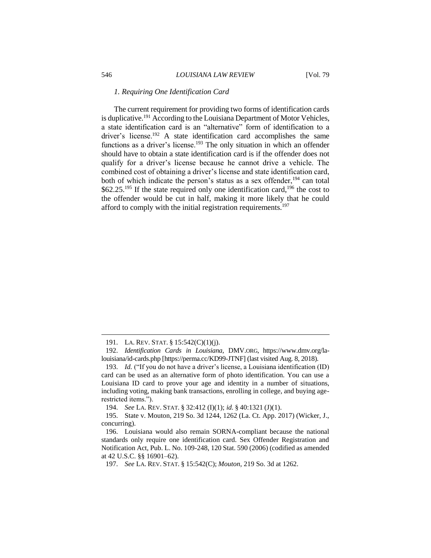#### *1. Requiring One Identification Card*

The current requirement for providing two forms of identification cards is duplicative.<sup>191</sup> According to the Louisiana Department of Motor Vehicles, a state identification card is an "alternative" form of identification to a driver's license.<sup>192</sup> A state identification card accomplishes the same functions as a driver's license.<sup>193</sup> The only situation in which an offender should have to obtain a state identification card is if the offender does not qualify for a driver's license because he cannot drive a vehicle. The combined cost of obtaining a driver's license and state identification card, both of which indicate the person's status as a sex offender,  $194$  can total  $$62.25<sup>195</sup>$  If the state required only one identification card,<sup>196</sup> the cost to the offender would be cut in half, making it more likely that he could afford to comply with the initial registration requirements.<sup>197</sup>

<sup>191.</sup> LA. REV. STAT. § 15:542(C)(1)(j).

<sup>192.</sup> *Identification Cards in Louisiana*, DMV.ORG, https://www.dmv.org/lalouisiana/id-cards.php [https://perma.cc/KD99-JTNF] (last visited Aug. 8, 2018).

<sup>193.</sup> *Id.* ("If you do not have a driver's license, a Louisiana identification (ID) card can be used as an alternative form of photo identification. You can use a Louisiana ID card to prove your age and identity in a number of situations, including voting, making bank transactions, enrolling in college, and buying agerestricted items.").

<sup>194.</sup> *See* LA. REV. STAT. § 32:412 (I)(1); *id.* § 40:1321 (J)(1).

<sup>195.</sup> State v. Mouton, 219 So. 3d 1244, 1262 (La. Ct. App. 2017) (Wicker, J., concurring).

<sup>196.</sup> Louisiana would also remain SORNA-compliant because the national standards only require one identification card. Sex Offender Registration and Notification Act, Pub. L. No. 109-248, 120 Stat. 590 (2006) (codified as amended at 42 U.S.C. §§ 16901–62).

<sup>197.</sup> *See* LA. REV. STAT. § 15:542(C); *Mouton*, 219 So. 3d at 1262.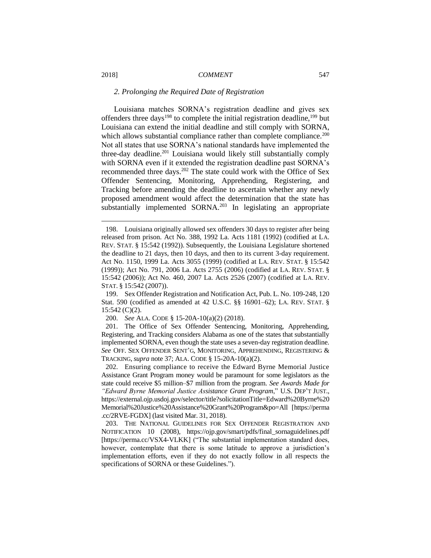#### *2. Prolonging the Required Date of Registration*

Louisiana matches SORNA's registration deadline and gives sex offenders three days<sup>198</sup> to complete the initial registration deadline,<sup>199</sup> but Louisiana can extend the initial deadline and still comply with SORNA, which allows substantial compliance rather than complete compliance.<sup>200</sup> Not all states that use SORNA's national standards have implemented the three-day deadline.<sup>201</sup> Louisiana would likely still substantially comply with SORNA even if it extended the registration deadline past SORNA's recommended three days.<sup>202</sup> The state could work with the Office of Sex Offender Sentencing, Monitoring, Apprehending, Registering, and Tracking before amending the deadline to ascertain whether any newly proposed amendment would affect the determination that the state has substantially implemented SORNA.<sup>203</sup> In legislating an appropriate

200. *See* ALA. CODE § 15-20A-10(a)(2) (2018).

201. The Office of Sex Offender Sentencing, Monitoring, Apprehending, Registering, and Tracking considers Alabama as one of the states that substantially implemented SORNA, even though the state uses a seven-day registration deadline. *See* OFF. SEX OFFENDER SENT'G, MONITORING, APPREHENDING, REGISTERING & TRACKING,*supra* note 37; ALA. CODE § 15-20A-10(a)(2).

202. Ensuring compliance to receive the Edward Byrne Memorial Justice Assistance Grant Program money would be paramount for some legislators as the state could receive \$5 million–\$7 million from the program. *See Awards Made for "Edward Byrne Memorial Justice Assistance Grant Program*," U.S. DEP'T JUST., https://external.ojp.usdoj.gov/selector/title?solicitationTitle=Edward%20Byrne%20 Memorial%20Justice%20Assistance%20Grant%20Program&po=All [https://perma .cc/2RVE-FGDX] (last visited Mar. 31, 2018).

203. THE NATIONAL GUIDELINES FOR SEX OFFENDER REGISTRATION AND NOTIFICATION 10 (2008), https://ojp.gov/smart/pdfs/final\_sornaguidelines.pdf [https://perma.cc/VSX4-VLKK] ("The substantial implementation standard does, however, contemplate that there is some latitude to approve a jurisdiction's implementation efforts, even if they do not exactly follow in all respects the specifications of SORNA or these Guidelines.").

<sup>198.</sup> Louisiana originally allowed sex offenders 30 days to register after being released from prison. Act No. 388, 1992 La. Acts 1181 (1992) (codified at LA. REV. STAT. § 15:542 (1992)). Subsequently, the Louisiana Legislature shortened the deadline to 21 days, then 10 days, and then to its current 3-day requirement. Act No. 1150, 1999 La. Acts 3055 (1999) (codified at LA. REV. STAT. § 15:542 (1999)); Act No. 791, 2006 La. Acts 2755 (2006) (codified at LA. REV. STAT. § 15:542 (2006)); Act No. 460, 2007 La. Acts 2526 (2007) (codified at LA. REV. STAT. § 15:542 (2007)).

<sup>199.</sup> Sex Offender Registration and Notification Act, Pub. L. No. 109-248, 120 Stat. 590 (codified as amended at 42 U.S.C. §§ 16901–62); LA. REV. STAT. § 15:542 (C)(2).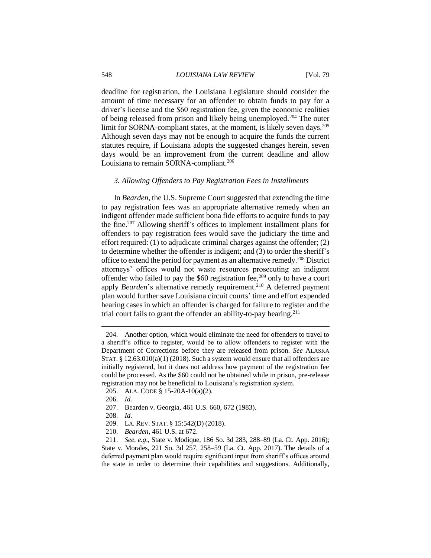#### 548 *LOUISIANA LAW REVIEW* [Vol. 79

deadline for registration, the Louisiana Legislature should consider the amount of time necessary for an offender to obtain funds to pay for a driver's license and the \$60 registration fee, given the economic realities of being released from prison and likely being unemployed.<sup>204</sup> The outer limit for SORNA-compliant states, at the moment, is likely seven days.<sup>205</sup> Although seven days may not be enough to acquire the funds the current statutes require, if Louisiana adopts the suggested changes herein, seven days would be an improvement from the current deadline and allow Louisiana to remain SORNA-compliant.<sup>206</sup>

#### *3. Allowing Offenders to Pay Registration Fees in Installments*

In *Bearden*, the U.S. Supreme Court suggested that extending the time to pay registration fees was an appropriate alternative remedy when an indigent offender made sufficient bona fide efforts to acquire funds to pay the fine.<sup>207</sup> Allowing sheriff's offices to implement installment plans for offenders to pay registration fees would save the judiciary the time and effort required: (1) to adjudicate criminal charges against the offender; (2) to determine whether the offender is indigent; and (3) to order the sheriff's office to extend the period for payment as an alternative remedy.<sup>208</sup> District attorneys' offices would not waste resources prosecuting an indigent offender who failed to pay the \$60 registration fee,<sup>209</sup> only to have a court apply *Bearden*'s alternative remedy requirement.<sup>210</sup> A deferred payment plan would further save Louisiana circuit courts' time and effort expended hearing cases in which an offender is charged for failure to register and the trial court fails to grant the offender an ability-to-pay hearing.<sup>211</sup>

<sup>204.</sup> Another option, which would eliminate the need for offenders to travel to a sheriff's office to register, would be to allow offenders to register with the Department of Corrections before they are released from prison. *See* ALASKA STAT. §  $12.63.010(a)(1)$  (2018). Such a system would ensure that all offenders are initially registered, but it does not address how payment of the registration fee could be processed. As the \$60 could not be obtained while in prison, pre-release registration may not be beneficial to Louisiana's registration system.

<sup>205.</sup> ALA. CODE § 15-20A-10(a)(2).

<sup>206.</sup> *Id.*

<sup>207.</sup> Bearden v. Georgia, 461 U.S. 660, 672 (1983).

<sup>208.</sup> *Id.*

<sup>209.</sup> LA. REV. STAT. § 15:542(D) (2018).

<sup>210.</sup> *Bearden*, 461 U.S. at 672.

<sup>211.</sup> *See, e.g*., State v. Modique, 186 So. 3d 283, 288–89 (La. Ct. App. 2016); State v. Morales, 221 So. 3d 257, 258–59 (La. Ct. App. 2017). The details of a deferred payment plan would require significant input from sheriff's offices around the state in order to determine their capabilities and suggestions. Additionally,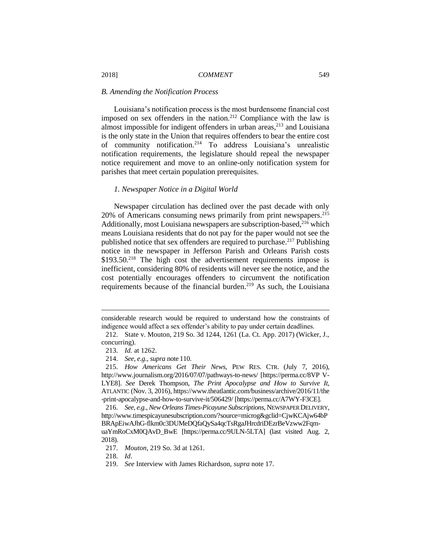#### *B. Amending the Notification Process*

Louisiana's notification process is the most burdensome financial cost imposed on sex offenders in the nation.<sup>212</sup> Compliance with the law is almost impossible for indigent offenders in urban areas, $^{213}$  and Louisiana is the only state in the Union that requires offenders to bear the entire cost of community notification.<sup>214</sup> To address Louisiana's unrealistic notification requirements, the legislature should repeal the newspaper notice requirement and move to an online-only notification system for parishes that meet certain population prerequisites.

#### *1. Newspaper Notice in a Digital World*

Newspaper circulation has declined over the past decade with only 20% of Americans consuming news primarily from print newspapers.<sup>215</sup> Additionally, most Louisiana newspapers are subscription-based,<sup>216</sup> which means Louisiana residents that do not pay for the paper would not see the published notice that sex offenders are required to purchase.<sup>217</sup> Publishing notice in the newspaper in Jefferson Parish and Orleans Parish costs \$193.50.<sup>218</sup> The high cost the advertisement requirements impose is inefficient, considering 80% of residents will never see the notice, and the cost potentially encourages offenders to circumvent the notification requirements because of the financial burden.<sup>219</sup> As such, the Louisiana

considerable research would be required to understand how the constraints of indigence would affect a sex offender's ability to pay under certain deadlines.

<sup>212.</sup> State v. Mouton, 219 So. 3d 1244, 1261 (La. Ct. App. 2017) (Wicker, J., concurring).

<sup>213.</sup> *Id.* at 1262.

<sup>214.</sup> *See, e.g.*, *supra* note 110.

<sup>215.</sup> *How Americans Get Their News*, PEW RES. CTR. (July 7, 2016), http://www.journalism.org/2016/07/07/pathways-to-news/ [https://perma.cc/8VP V-LYE8]. *See* Derek Thompson, *The Print Apocalypse and How to Survive It*, ATLANTIC (Nov. 3, 2016), https://www.theatlantic.com/business/archive/2016/11/the -print-apocalypse-and-how-to-survive-it/506429/ [https://perma.cc/A7WY-F3CE].

<sup>216.</sup> *See, e.g.*, *New Orleans Times-Picayune Subscriptions*, NEWSPAPER DELIVERY, http://www.timespicayunesubscription.com/?source=microg&gclid=CjwKCAjw64bP BRApEiwAJhG-flkm0c3DUMeDQfaQySa4qcTsRgaJHrcdriDEzrBeVzww2FqmuaYmRoCxM0OAvD\_BwE [https://perma.cc/9ULN-5LTA] (last visited Aug. 2, 2018).

<sup>217.</sup> *Mouton*, 219 So. 3d at 1261.

<sup>218.</sup> *Id*.

<sup>219.</sup> *See* Interview with James Richardson, *supra* note 17.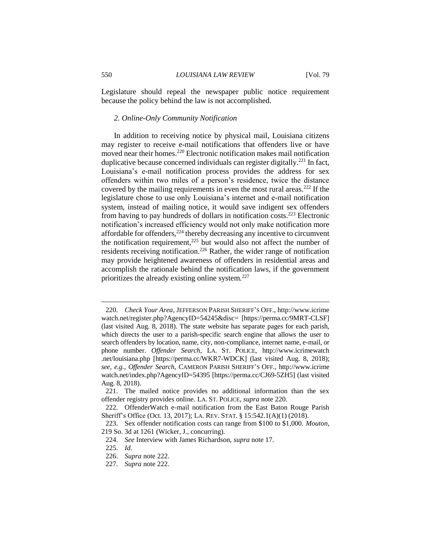Legislature should repeal the newspaper public notice requirement because the policy behind the law is not accomplished.

#### *2. Online-Only Community Notification*

In addition to receiving notice by physical mail, Louisiana citizens may register to receive e-mail notifications that offenders live or have moved near their homes. <sup>220</sup> Electronic notification makes mail notification duplicative because concerned individuals can register digitally.<sup>221</sup> In fact, Louisiana's e-mail notification process provides the address for sex offenders within two miles of a person's residence, twice the distance covered by the mailing requirements in even the most rural areas.<sup>222</sup> If the legislature chose to use only Louisiana's internet and e-mail notification system, instead of mailing notice, it would save indigent sex offenders from having to pay hundreds of dollars in notification costs.<sup>223</sup> Electronic notification's increased efficiency would not only make notification more affordable for offenders, $2^{24}$  thereby decreasing any incentive to circumvent the notification requirement,<sup>225</sup> but would also not affect the number of residents receiving notification.<sup>226</sup> Rather, the wider range of notification may provide heightened awareness of offenders in residential areas and accomplish the rationale behind the notification laws, if the government prioritizes the already existing online system.<sup>227</sup>

<sup>220.</sup> *Check Your Area*, JEFFERSON PARISH SHERIFF'S OFF., http://www.icrime watch.net/register.php?AgencyID=54245&disc= [https://perma.cc/9MRT-CLSF] (last visited Aug. 8, 2018). The state website has separate pages for each parish, which directs the user to a parish-specific search engine that allows the user to search offenders by location, name, city, non-compliance, internet name, e-mail, or phone number. *Offender Search*, LA. ST. POLICE, http://www.icrimewatch .net/louisiana.php [https://perma.cc/WKR7-WDCK] (last visited Aug. 8, 2018); *see, e.g.*, *Offender Search*, CAMERON PARISH SHERIFF'S OFF., http://www.icrime watch.net/index.php?AgencyID=54395 [https://perma.cc/CJ69-5ZH5] (last visited Aug. 8, 2018).

<sup>221.</sup> The mailed notice provides no additional information than the sex offender registry provides online. LA. ST. POLICE, *supra* note 220.

<sup>222.</sup> OffenderWatch e-mail notification from the East Baton Rouge Parish Sheriff's Office (Oct. 13, 2017); LA. REV. STAT. § 15:542.1(A)(1) (2018).

<sup>223.</sup> Sex offender notification costs can range from \$100 to \$1,000. *Mouton*, 219 So. 3d at 1261 (Wicker, J., concurring).

<sup>224.</sup> *See* Interview with James Richardson, *supra* note 17.

<sup>225.</sup> *Id.*

<sup>226.</sup> *Supra* note 222.

<sup>227.</sup> *Supra* note 222.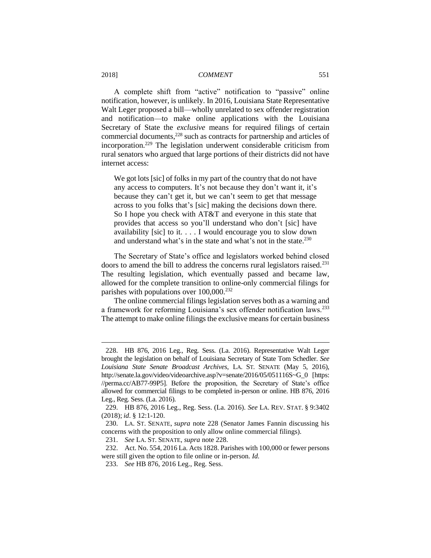A complete shift from "active" notification to "passive" online notification, however, is unlikely. In 2016, Louisiana State Representative Walt Leger proposed a bill—wholly unrelated to sex offender registration and notification—to make online applications with the Louisiana Secretary of State the *exclusive* means for required filings of certain commercial documents,<sup>228</sup> such as contracts for partnership and articles of incorporation.<sup>229</sup> The legislation underwent considerable criticism from rural senators who argued that large portions of their districts did not have internet access:

We got lots [sic] of folks in my part of the country that do not have any access to computers. It's not because they don't want it, it's because they can't get it, but we can't seem to get that message across to you folks that's [sic] making the decisions down there. So I hope you check with AT&T and everyone in this state that provides that access so you'll understand who don't [sic] have availability [sic] to it. . . . I would encourage you to slow down and understand what's in the state and what's not in the state.<sup>230</sup>

The Secretary of State's office and legislators worked behind closed doors to amend the bill to address the concerns rural legislators raised.<sup>231</sup> The resulting legislation, which eventually passed and became law, allowed for the complete transition to online-only commercial filings for parishes with populations over  $100,000^{232}$ 

The online commercial filings legislation serves both as a warning and a framework for reforming Louisiana's sex offender notification laws.<sup>233</sup> The attempt to make online filings the exclusive means for certain business

<sup>228.</sup> HB 876, 2016 Leg., Reg. Sess. (La. 2016). Representative Walt Leger brought the legislation on behalf of Louisiana Secretary of State Tom Schedler. *See Louisiana State Senate Broadcast Archives*, LA. ST. SENATE (May 5, 2016), http://senate.la.gov/video/videoarchive.asp?v=senate/2016/05/051116S~G\_0 [https: //perma.cc/AB77-99P5]. Before the proposition, the Secretary of State's office allowed for commercial filings to be completed in-person or online. HB 876, 2016 Leg., Reg. Sess. (La. 2016).

<sup>229.</sup> HB 876, 2016 Leg., Reg. Sess. (La. 2016). *See* LA. REV. STAT. § 9:3402 (2018); *id*. § 12:1-120.

<sup>230.</sup> LA. ST. SENATE, *supra* note 228 (Senator James Fannin discussing his concerns with the proposition to only allow online commercial filings).

<sup>231.</sup> *See* LA. ST. SENATE, *supra* note 228.

<sup>232.</sup> Act. No. 554, 2016 La. Acts 1828. Parishes with 100,000 or fewer persons were still given the option to file online or in-person. *Id.*

<sup>233.</sup> *See* HB 876, 2016 Leg., Reg. Sess.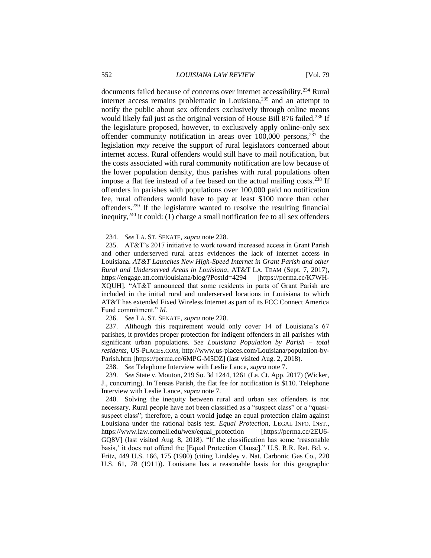documents failed because of concerns over internet accessibility.<sup>234</sup> Rural internet access remains problematic in Louisiana,<sup>235</sup> and an attempt to notify the public about sex offenders exclusively through online means would likely fail just as the original version of House Bill 876 failed.<sup>236</sup> If the legislature proposed, however, to exclusively apply online-only sex offender community notification in areas over  $100,000$  persons,  $237$  the legislation *may* receive the support of rural legislators concerned about internet access. Rural offenders would still have to mail notification, but the costs associated with rural community notification are low because of the lower population density, thus parishes with rural populations often impose a flat fee instead of a fee based on the actual mailing costs.<sup>238</sup> If offenders in parishes with populations over 100,000 paid no notification fee, rural offenders would have to pay at least \$100 more than other offenders.<sup>239</sup> If the legislature wanted to resolve the resulting financial inequity,<sup>240</sup> it could: (1) charge a small notification fee to all sex offenders

236. *See* LA. ST. SENATE, *supra* note 228.

237. Although this requirement would only cover 14 of Louisiana's 67 parishes, it provides proper protection for indigent offenders in all parishes with significant urban populations. *See Louisiana Population by Parish – total residents*, US-PLACES.COM, http://www.us-places.com/Louisiana/population-by-Parish.htm [https://perma.cc/6MPG-M5DZ] (last visited Aug. 2, 2018).

238. *See* Telephone Interview with Leslie Lance, *supra* note 7.

239. *See* State v. Mouton, 219 So. 3d 1244, 1261 (La. Ct. App. 2017) (Wicker, J., concurring). In Tensas Parish, the flat fee for notification is \$110. Telephone Interview with Leslie Lance, *supra* note 7.

240. Solving the inequity between rural and urban sex offenders is not necessary. Rural people have not been classified as a "suspect class" or a "quasisuspect class"; therefore, a court would judge an equal protection claim against Louisiana under the rational basis test. *Equal Protection*, LEGAL INFO. INST., https://www.law.cornell.edu/wex/equal\_protection [https://perma.cc/2EU6- GQ8V] (last visited Aug. 8, 2018). "If the classification has some 'reasonable basis,' it does not offend the [Equal Protection Clause]." U.S. R.R. Ret. Bd. v. Fritz, 449 U.S. 166, 175 (1980) (citing Lindsley v. Nat. Carbonic Gas Co., 220 U.S. 61, 78 (1911)). Louisiana has a reasonable basis for this geographic

<sup>234.</sup> *See* LA. ST. SENATE, *supra* note 228.

<sup>235.</sup> AT&T's 2017 initiative to work toward increased access in Grant Parish and other underserved rural areas evidences the lack of internet access in Louisiana. *AT&T Launches New High-Speed Internet in Grant Parish and other Rural and Underserved Areas in Louisiana*, AT&T LA. TEAM (Sept. 7, 2017), https://engage.att.com/louisiana/blog/?PostId=4294 [https://perma.cc/K7WH-XQUH]. "AT&T announced that some residents in parts of Grant Parish are included in the initial rural and underserved locations in Louisiana to which AT&T has extended Fixed Wireless Internet as part of its FCC Connect America Fund commitment." *Id.*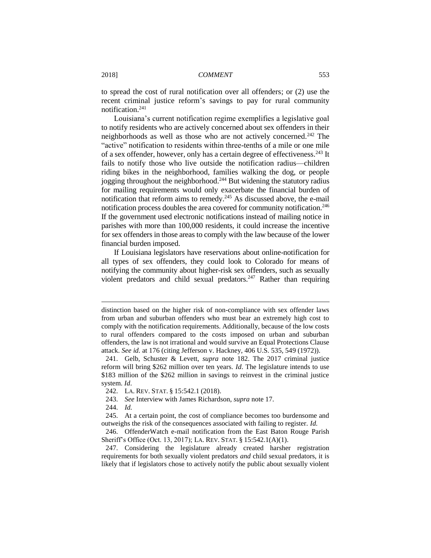to spread the cost of rural notification over all offenders; or (2) use the recent criminal justice reform's savings to pay for rural community notification. 241

Louisiana's current notification regime exemplifies a legislative goal to notify residents who are actively concerned about sex offenders in their neighborhoods as well as those who are not actively concerned.<sup>242</sup> The "active" notification to residents within three-tenths of a mile or one mile of a sex offender, however, only has a certain degree of effectiveness.<sup>243</sup> It fails to notify those who live outside the notification radius—children riding bikes in the neighborhood, families walking the dog, or people jogging throughout the neighborhood.<sup>244</sup> But widening the statutory radius for mailing requirements would only exacerbate the financial burden of notification that reform aims to remedy.<sup>245</sup> As discussed above, the e-mail notification process doubles the area covered for community notification.<sup>246</sup> If the government used electronic notifications instead of mailing notice in parishes with more than 100,000 residents, it could increase the incentive for sex offenders in those areas to comply with the law because of the lower financial burden imposed.

If Louisiana legislators have reservations about online-notification for all types of sex offenders, they could look to Colorado for means of notifying the community about higher-risk sex offenders, such as sexually violent predators and child sexual predators.<sup>247</sup> Rather than requiring

distinction based on the higher risk of non-compliance with sex offender laws from urban and suburban offenders who must bear an extremely high cost to comply with the notification requirements. Additionally, because of the low costs to rural offenders compared to the costs imposed on urban and suburban offenders, the law is not irrational and would survive an Equal Protections Clause attack. *See id.* at 176 (citing Jefferson v. Hackney, 406 U.S. 535, 549 (1972)).

<sup>241.</sup> Gelb, Schuster & Levett, *supra* note 182. The 2017 criminal justice reform will bring \$262 million over ten years. *Id*. The legislature intends to use \$183 million of the \$262 million in savings to reinvest in the criminal justice system. *Id*.

<sup>242.</sup> LA. REV. STAT. § 15:542.1 (2018).

<sup>243.</sup> *See* Interview with James Richardson, *supra* note 17.

<sup>244.</sup> *Id.*

<sup>245.</sup> At a certain point, the cost of compliance becomes too burdensome and outweighs the risk of the consequences associated with failing to register. *Id.*

<sup>246.</sup> OffenderWatch e-mail notification from the East Baton Rouge Parish Sheriff's Office (Oct. 13, 2017); LA. REV. STAT. § 15:542.1(A)(1).

<sup>247.</sup> Considering the legislature already created harsher registration requirements for both sexually violent predators *and* child sexual predators, it is likely that if legislators chose to actively notify the public about sexually violent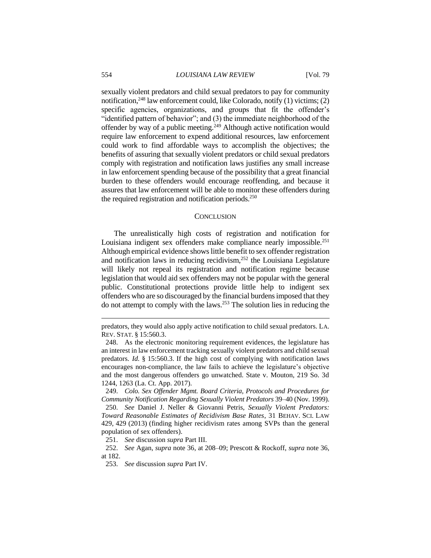sexually violent predators and child sexual predators to pay for community notification,<sup>248</sup> law enforcement could, like Colorado, notify (1) victims; (2) specific agencies, organizations, and groups that fit the offender's "identified pattern of behavior"; and (3) the immediate neighborhood of the offender by way of a public meeting.<sup>249</sup> Although active notification would require law enforcement to expend additional resources, law enforcement could work to find affordable ways to accomplish the objectives; the benefits of assuring that sexually violent predators or child sexual predators comply with registration and notification laws justifies any small increase in law enforcement spending because of the possibility that a great financial burden to these offenders would encourage reoffending, and because it assures that law enforcement will be able to monitor these offenders during the required registration and notification periods.<sup>250</sup>

#### **CONCLUSION**

The unrealistically high costs of registration and notification for Louisiana indigent sex offenders make compliance nearly impossible.<sup>251</sup> Although empirical evidence shows little benefit to sex offender registration and notification laws in reducing recidivism,<sup>252</sup> the Louisiana Legislature will likely not repeal its registration and notification regime because legislation that would aid sex offenders may not be popular with the general public. Constitutional protections provide little help to indigent sex offenders who are so discouraged by the financial burdens imposed that they do not attempt to comply with the laws.<sup>253</sup> The solution lies in reducing the

249. *Colo. Sex Offender Mgmt. Board Criteria, Protocols and Procedures for Community Notification Regarding Sexually Violent Predators* 39–40 (Nov. 1999).

251. *See* discussion *supra* Part III.

252. *See* Agan, *supra* note 36, at 208–09; Prescott & Rockoff, *supra* note 36, at 182.

predators, they would also apply active notification to child sexual predators. LA. REV. STAT. § 15:560.3.

<sup>248.</sup> As the electronic monitoring requirement evidences, the legislature has an interest in law enforcement tracking sexually violent predators and child sexual predators. *Id.* § 15:560.3. If the high cost of complying with notification laws encourages non-compliance, the law fails to achieve the legislature's objective and the most dangerous offenders go unwatched. State v. Mouton, 219 So. 3d 1244, 1263 (La. Ct. App. 2017).

<sup>250.</sup> *See* Daniel J. Neller & Giovanni Petris, *Sexually Violent Predators: Toward Reasonable Estimates of Recidivism Base Rates*, 31 BEHAV. SCI. LAW 429, 429 (2013) (finding higher recidivism rates among SVPs than the general population of sex offenders).

<sup>253.</sup> *See* discussion *supra* Part IV.